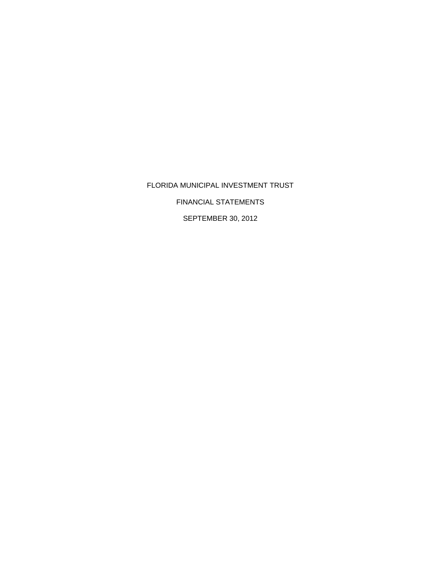FLORIDA MUNICIPAL INVESTMENT TRUST FINANCIAL STATEMENTS SEPTEMBER 30, 2012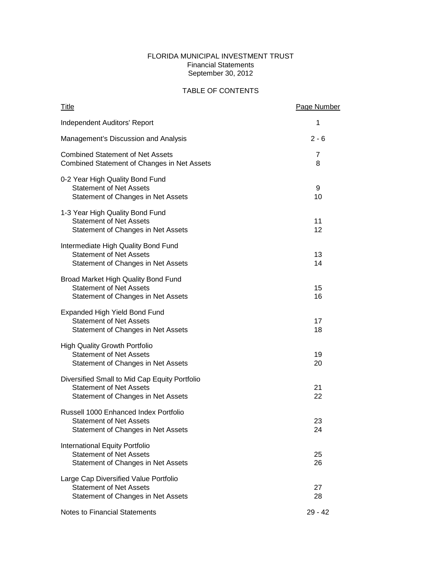## FLORIDA MUNICIPAL INVESTMENT TRUST Financial Statements September 30, 2012

# TABLE OF CONTENTS

| <b>Title</b>                                                                                                          | <b>Page Number</b> |
|-----------------------------------------------------------------------------------------------------------------------|--------------------|
| Independent Auditors' Report                                                                                          | 1                  |
| Management's Discussion and Analysis                                                                                  | $2 - 6$            |
| <b>Combined Statement of Net Assets</b><br>Combined Statement of Changes in Net Assets                                | 7<br>8             |
| 0-2 Year High Quality Bond Fund<br><b>Statement of Net Assets</b><br>Statement of Changes in Net Assets               | 9<br>10            |
| 1-3 Year High Quality Bond Fund<br><b>Statement of Net Assets</b><br>Statement of Changes in Net Assets               | 11<br>12           |
| Intermediate High Quality Bond Fund<br><b>Statement of Net Assets</b><br>Statement of Changes in Net Assets           | 13<br>14           |
| Broad Market High Quality Bond Fund<br><b>Statement of Net Assets</b><br>Statement of Changes in Net Assets           | 15<br>16           |
| <b>Expanded High Yield Bond Fund</b><br><b>Statement of Net Assets</b><br>Statement of Changes in Net Assets          | 17<br>18           |
| <b>High Quality Growth Portfolio</b><br><b>Statement of Net Assets</b><br>Statement of Changes in Net Assets          | 19<br>20           |
| Diversified Small to Mid Cap Equity Portfolio<br><b>Statement of Net Assets</b><br>Statement of Changes in Net Assets | 21<br>22           |
| Russell 1000 Enhanced Index Portfolio<br><b>Statement of Net Assets</b><br>Statement of Changes in Net Assets         | 23<br>24           |
| International Equity Portfolio<br><b>Statement of Net Assets</b><br>Statement of Changes in Net Assets                | 25<br>26           |
| Large Cap Diversified Value Portfolio<br><b>Statement of Net Assets</b><br>Statement of Changes in Net Assets         | 27<br>28           |
| Notes to Financial Statements                                                                                         | 29 - 42            |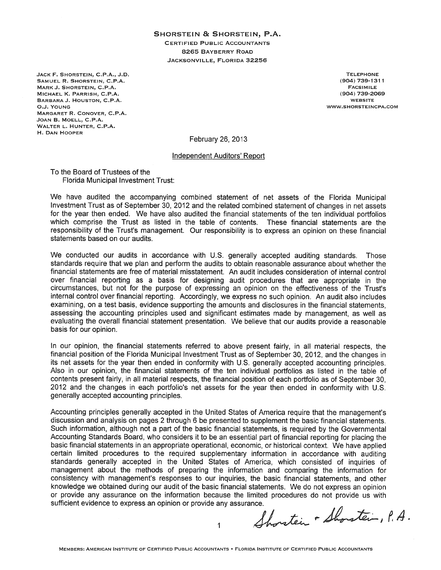#### SHORSTEIN & SHORSTEIN, P.A.

**CERTIFIED PUBLIC ACCOUNTANTS** 8265 BAYBERRY ROAD JACKSONVILLE, FLORIDA 32256

JACK F. SHORSTEIN, C.P.A., J.D. SAMUEL R. SHORSTEIN, C.P.A. MARK J. SHORSTEIN, C.P.A. MICHAEL K. PARRISH, C.P.A. BARBARA J. HOUSTON, C.P.A. O.J. YOUNG MARGARET R. CONOVER, C.P.A. JOAN B. MOELL, C.P.A. WALTER L. HUNTER, C.P.A. H. DAN HOOPER

**TELEPHONE**  $(904) 739 - 1311$ FACSIMILE (904) 739-2069 **WEBSITE** WWW.SHORSTEINCPA.COM

February 26, 2013

#### Independent Auditors' Report

To the Board of Trustees of the **Florida Municipal Investment Trust:** 

We have audited the accompanying combined statement of net assets of the Florida Municipal Investment Trust as of September 30, 2012 and the related combined statement of changes in net assets for the year then ended. We have also audited the financial statements of the ten individual portfolios which comprise the Trust as listed in the table of contents. These financial statements are the responsibility of the Trust's management. Our responsibility is to express an opinion on these financial statements based on our audits.

We conducted our audits in accordance with U.S. generally accepted auditing standards. Those standards require that we plan and perform the audits to obtain reasonable assurance about whether the financial statements are free of material misstatement. An audit includes consideration of internal control over financial reporting as a basis for designing audit procedures that are appropriate in the circumstances, but not for the purpose of expressing an opinion on the effectiveness of the Trust's internal control over financial reporting. Accordingly, we express no such opinion. An audit also includes examining, on a test basis, evidence supporting the amounts and disclosures in the financial statements, assessing the accounting principles used and significant estimates made by management, as well as evaluating the overall financial statement presentation. We believe that our audits provide a reasonable basis for our opinion.

In our opinion, the financial statements referred to above present fairly, in all material respects, the financial position of the Florida Municipal Investment Trust as of September 30, 2012, and the changes in its net assets for the year then ended in conformity with U.S. generally accepted accounting principles. Also in our opinion, the financial statements of the ten individual portfolios as listed in the table of contents present fairly, in all material respects, the financial position of each portfolio as of September 30, 2012 and the changes in each portfolio's net assets for the year then ended in conformity with U.S. generally accepted accounting principles.

Accounting principles generally accepted in the United States of America require that the management's discussion and analysis on pages 2 through 6 be presented to supplement the basic financial statements. Such information, although not a part of the basic financial statements, is required by the Governmental Accounting Standards Board, who considers it to be an essential part of financial reporting for placing the basic financial statements in an appropriate operational, economic, or historical context. We have applied certain limited procedures to the required supplementary information in accordance with auditing standards generally accepted in the United States of America, which consisted of inquiries of management about the methods of preparing the information and comparing the information for consistency with management's responses to our inquiries, the basic financial statements, and other knowledge we obtained during our audit of the basic financial statements. We do not express an opinion or provide any assurance on the information because the limited procedures do not provide us with sufficient evidence to express an opinion or provide any assurance.

Shorten - Shorstein, P.A.

1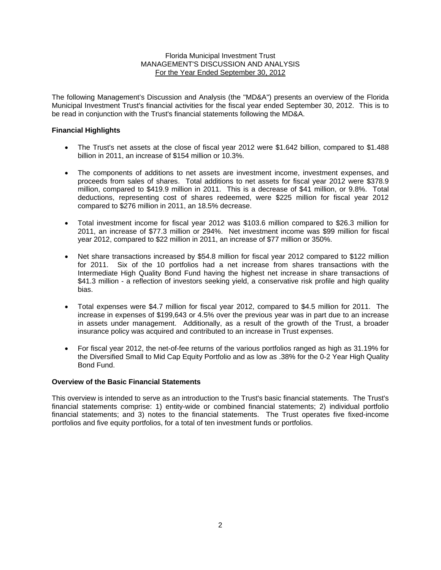The following Management's Discussion and Analysis (the "MD&A") presents an overview of the Florida Municipal Investment Trust's financial activities for the fiscal year ended September 30, 2012. This is to be read in conjunction with the Trust's financial statements following the MD&A.

## **Financial Highlights**

- The Trust's net assets at the close of fiscal year 2012 were \$1.642 billion, compared to \$1.488 billion in 2011, an increase of \$154 million or 10.3%.
- The components of additions to net assets are investment income, investment expenses, and proceeds from sales of shares. Total additions to net assets for fiscal year 2012 were \$378.9 million, compared to \$419.9 million in 2011. This is a decrease of \$41 million, or 9.8%. Total deductions, representing cost of shares redeemed, were \$225 million for fiscal year 2012 compared to \$276 million in 2011, an 18.5% decrease.
- Total investment income for fiscal year 2012 was \$103.6 million compared to \$26.3 million for 2011, an increase of \$77.3 million or 294%. Net investment income was \$99 million for fiscal year 2012, compared to \$22 million in 2011, an increase of \$77 million or 350%.
- Net share transactions increased by \$54.8 million for fiscal year 2012 compared to \$122 million for 2011. Six of the 10 portfolios had a net increase from shares transactions with the Intermediate High Quality Bond Fund having the highest net increase in share transactions of \$41.3 million - a reflection of investors seeking yield, a conservative risk profile and high quality bias.
- Total expenses were \$4.7 million for fiscal year 2012, compared to \$4.5 million for 2011. The increase in expenses of \$199,643 or 4.5% over the previous year was in part due to an increase in assets under management. Additionally, as a result of the growth of the Trust, a broader insurance policy was acquired and contributed to an increase in Trust expenses.
- For fiscal year 2012, the net-of-fee returns of the various portfolios ranged as high as 31.19% for the Diversified Small to Mid Cap Equity Portfolio and as low as .38% for the 0-2 Year High Quality Bond Fund.

### **Overview of the Basic Financial Statements**

This overview is intended to serve as an introduction to the Trust's basic financial statements. The Trust's financial statements comprise: 1) entity-wide or combined financial statements; 2) individual portfolio financial statements; and 3) notes to the financial statements. The Trust operates five fixed-income portfolios and five equity portfolios, for a total of ten investment funds or portfolios.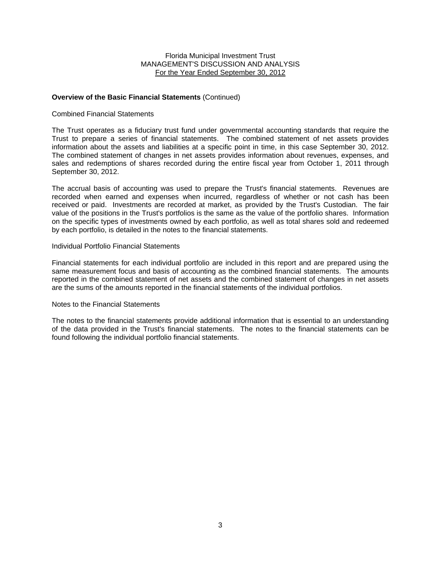### **Overview of the Basic Financial Statements** (Continued)

#### Combined Financial Statements

The Trust operates as a fiduciary trust fund under governmental accounting standards that require the Trust to prepare a series of financial statements. The combined statement of net assets provides information about the assets and liabilities at a specific point in time, in this case September 30, 2012. The combined statement of changes in net assets provides information about revenues, expenses, and sales and redemptions of shares recorded during the entire fiscal year from October 1, 2011 through September 30, 2012.

The accrual basis of accounting was used to prepare the Trust's financial statements. Revenues are recorded when earned and expenses when incurred, regardless of whether or not cash has been received or paid. Investments are recorded at market, as provided by the Trust's Custodian. The fair value of the positions in the Trust's portfolios is the same as the value of the portfolio shares. Information on the specific types of investments owned by each portfolio, as well as total shares sold and redeemed by each portfolio, is detailed in the notes to the financial statements.

### Individual Portfolio Financial Statements

Financial statements for each individual portfolio are included in this report and are prepared using the same measurement focus and basis of accounting as the combined financial statements. The amounts reported in the combined statement of net assets and the combined statement of changes in net assets are the sums of the amounts reported in the financial statements of the individual portfolios.

#### Notes to the Financial Statements

The notes to the financial statements provide additional information that is essential to an understanding of the data provided in the Trust's financial statements. The notes to the financial statements can be found following the individual portfolio financial statements.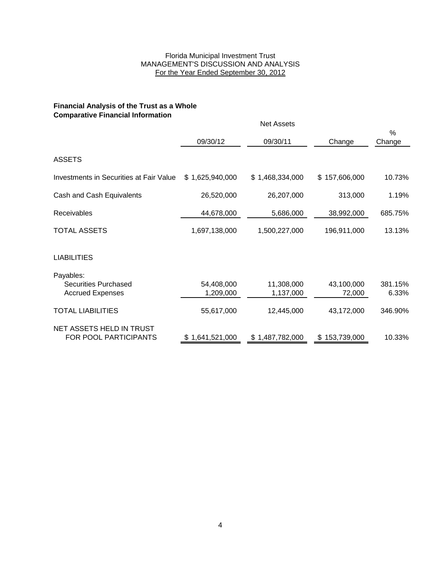## **Financial Analysis of the Trust as a Whole Comparative Financial Information**

|                                                                     |                         | <b>Net Assets</b>       |                      |                  |
|---------------------------------------------------------------------|-------------------------|-------------------------|----------------------|------------------|
|                                                                     | 09/30/12                | 09/30/11                | Change               | %<br>Change      |
| <b>ASSETS</b>                                                       |                         |                         |                      |                  |
| Investments in Securities at Fair Value                             | \$1,625,940,000         | \$1,468,334,000         | \$157,606,000        | 10.73%           |
| Cash and Cash Equivalents                                           | 26,520,000              | 26,207,000              | 313,000              | 1.19%            |
| <b>Receivables</b>                                                  | 44,678,000              | 5,686,000               | 38,992,000           | 685.75%          |
| <b>TOTAL ASSETS</b>                                                 | 1,697,138,000           | 1,500,227,000           | 196,911,000          | 13.13%           |
| <b>LIABILITIES</b>                                                  |                         |                         |                      |                  |
| Payables:<br><b>Securities Purchased</b><br><b>Accrued Expenses</b> | 54,408,000<br>1,209,000 | 11,308,000<br>1,137,000 | 43,100,000<br>72,000 | 381.15%<br>6.33% |
| <b>TOTAL LIABILITIES</b>                                            | 55,617,000              | 12,445,000              | 43,172,000           | 346.90%          |
| NET ASSETS HELD IN TRUST<br>FOR POOL PARTICIPANTS                   | \$1,641,521,000         | \$1,487,782,000         | 153,739,000<br>\$    | 10.33%           |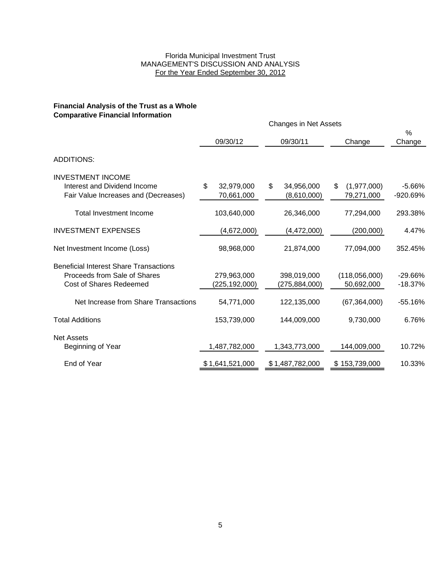## **Financial Analysis of the Trust as a Whole Comparative Financial Information**

|                                                                                                                 |                                | <b>Changes in Net Assets</b>    |                                 |                        |
|-----------------------------------------------------------------------------------------------------------------|--------------------------------|---------------------------------|---------------------------------|------------------------|
|                                                                                                                 | 09/30/12                       | 09/30/11                        | Change                          | $\%$<br>Change         |
| <b>ADDITIONS:</b>                                                                                               |                                |                                 |                                 |                        |
| <b>INVESTMENT INCOME</b><br>Interest and Dividend Income<br>Fair Value Increases and (Decreases)                | \$<br>32,979,000<br>70,661,000 | \$<br>34,956,000<br>(8,610,000) | \$<br>(1,977,000)<br>79,271,000 | $-5.66%$<br>-920.69%   |
| <b>Total Investment Income</b>                                                                                  | 103,640,000                    | 26,346,000                      | 77,294,000                      | 293.38%                |
| <b>INVESTMENT EXPENSES</b>                                                                                      | (4,672,000)                    | (4, 472, 000)                   | (200,000)                       | 4.47%                  |
| Net Investment Income (Loss)                                                                                    | 98,968,000                     | 21,874,000                      | 77,094,000                      | 352.45%                |
| <b>Beneficial Interest Share Transactions</b><br>Proceeds from Sale of Shares<br><b>Cost of Shares Redeemed</b> | 279,963,000<br>(225,192,000)   | 398,019,000<br>(275,884,000)    | (118,056,000)<br>50,692,000     | $-29.66%$<br>$-18.37%$ |
| Net Increase from Share Transactions                                                                            | 54,771,000                     | 122,135,000                     | (67, 364, 000)                  | $-55.16%$              |
| <b>Total Additions</b>                                                                                          | 153,739,000                    | 144,009,000                     | 9,730,000                       | 6.76%                  |
| <b>Net Assets</b><br>Beginning of Year                                                                          | 1,487,782,000                  | 1,343,773,000                   | 144,009,000                     | 10.72%                 |
| End of Year                                                                                                     | \$1,641,521,000                | \$1,487,782,000                 | \$153,739,000                   | 10.33%                 |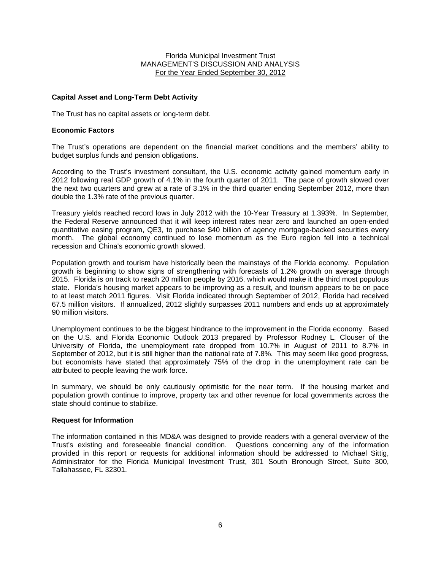## **Capital Asset and Long-Term Debt Activity**

The Trust has no capital assets or long-term debt.

### **Economic Factors**

The Trust's operations are dependent on the financial market conditions and the members' ability to budget surplus funds and pension obligations.

According to the Trust's investment consultant, the U.S. economic activity gained momentum early in 2012 following real GDP growth of 4.1% in the fourth quarter of 2011. The pace of growth slowed over the next two quarters and grew at a rate of 3.1% in the third quarter ending September 2012, more than double the 1.3% rate of the previous quarter.

Treasury yields reached record lows in July 2012 with the 10-Year Treasury at 1.393%. In September, the Federal Reserve announced that it will keep interest rates near zero and launched an open-ended quantitative easing program, QE3, to purchase \$40 billion of agency mortgage-backed securities every month. The global economy continued to lose momentum as the Euro region fell into a technical recession and China's economic growth slowed.

Population growth and tourism have historically been the mainstays of the Florida economy. Population growth is beginning to show signs of strengthening with forecasts of 1.2% growth on average through 2015. Florida is on track to reach 20 million people by 2016, which would make it the third most populous state. Florida's housing market appears to be improving as a result, and tourism appears to be on pace to at least match 2011 figures. Visit Florida indicated through September of 2012, Florida had received 67.5 million visitors. If annualized, 2012 slightly surpasses 2011 numbers and ends up at approximately 90 million visitors.

Unemployment continues to be the biggest hindrance to the improvement in the Florida economy. Based on the U.S. and Florida Economic Outlook 2013 prepared by Professor Rodney L. Clouser of the University of Florida, the unemployment rate dropped from 10.7% in August of 2011 to 8.7% in September of 2012, but it is still higher than the national rate of 7.8%. This may seem like good progress, but economists have stated that approximately 75% of the drop in the unemployment rate can be attributed to people leaving the work force.

In summary, we should be only cautiously optimistic for the near term. If the housing market and population growth continue to improve, property tax and other revenue for local governments across the state should continue to stabilize.

### **Request for Information**

The information contained in this MD&A was designed to provide readers with a general overview of the Trust's existing and foreseeable financial condition. Questions concerning any of the information provided in this report or requests for additional information should be addressed to Michael Sittig, Administrator for the Florida Municipal Investment Trust, 301 South Bronough Street, Suite 300, Tallahassee, FL 32301.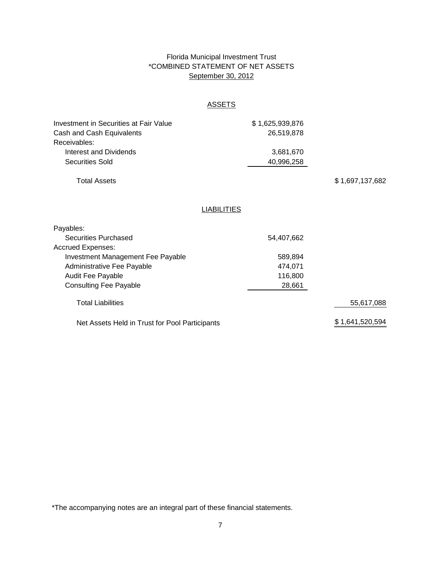## Florida Municipal Investment Trust \*COMBINED STATEMENT OF NET ASSETS September 30, 2012

# **ASSETS**

| <b>Investment in Securities at Fair Value</b>  | \$1,625,939,876 |                 |
|------------------------------------------------|-----------------|-----------------|
| Cash and Cash Equivalents                      | 26,519,878      |                 |
| Receivables:                                   |                 |                 |
| Interest and Dividends                         | 3,681,670       |                 |
| <b>Securities Sold</b>                         | 40,996,258      |                 |
| <b>Total Assets</b>                            |                 | \$1,697,137,682 |
| <b>LIABILITIES</b>                             |                 |                 |
| Payables:                                      |                 |                 |
| <b>Securities Purchased</b>                    | 54,407,662      |                 |
| <b>Accrued Expenses:</b>                       |                 |                 |
| <b>Investment Management Fee Payable</b>       | 589,894         |                 |
| Administrative Fee Payable                     | 474,071         |                 |
| <b>Audit Fee Payable</b>                       | 116,800         |                 |
| <b>Consulting Fee Payable</b>                  | 28,661          |                 |
| <b>Total Liabilities</b>                       |                 | 55,617,088      |
| Net Assets Held in Trust for Pool Participants |                 | \$1,641,520,594 |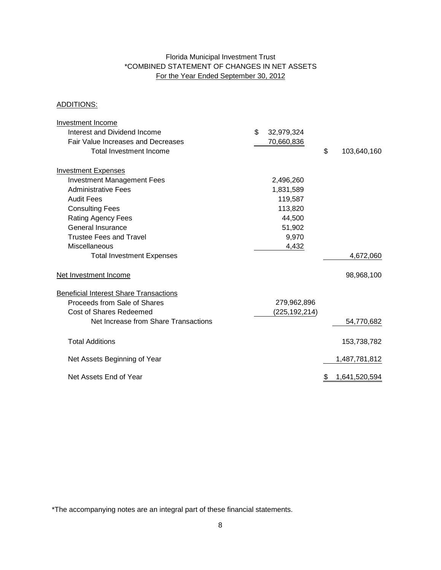## Florida Municipal Investment Trust \*COMBINED STATEMENT OF CHANGES IN NET ASSETS For the Year Ended September 30, 2012

## ADDITIONS:

| Investment Income                             |                  |                   |
|-----------------------------------------------|------------------|-------------------|
| Interest and Dividend Income                  | \$<br>32,979,324 |                   |
| Fair Value Increases and Decreases            | 70,660,836       |                   |
| <b>Total Investment Income</b>                |                  | \$<br>103,640,160 |
| <b>Investment Expenses</b>                    |                  |                   |
| <b>Investment Management Fees</b>             | 2,496,260        |                   |
| <b>Administrative Fees</b>                    | 1,831,589        |                   |
| <b>Audit Fees</b>                             | 119,587          |                   |
| <b>Consulting Fees</b>                        | 113,820          |                   |
| <b>Rating Agency Fees</b>                     | 44,500           |                   |
| General Insurance                             | 51,902           |                   |
| <b>Trustee Fees and Travel</b>                | 9,970            |                   |
| Miscellaneous                                 | 4,432            |                   |
| <b>Total Investment Expenses</b>              |                  | 4,672,060         |
| Net Investment Income                         |                  | 98,968,100        |
| <b>Beneficial Interest Share Transactions</b> |                  |                   |
| Proceeds from Sale of Shares                  | 279,962,896      |                   |
| <b>Cost of Shares Redeemed</b>                | (225,192,214)    |                   |
| Net Increase from Share Transactions          |                  | 54,770,682        |
| <b>Total Additions</b>                        |                  | 153,738,782       |
| Net Assets Beginning of Year                  |                  | 1,487,781,812     |
| Net Assets End of Year                        |                  | 1,641,520,594     |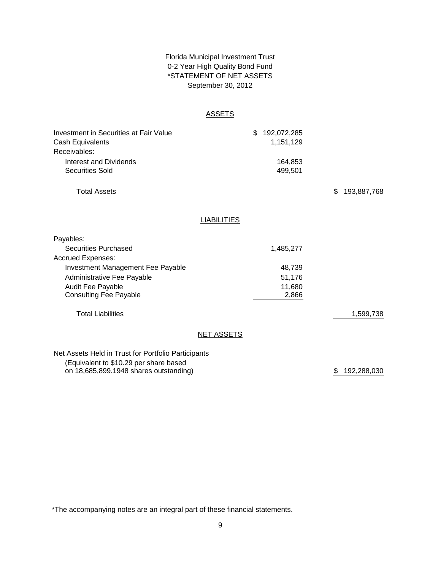## \*STATEMENT OF NET ASSETS 0-2 Year High Quality Bond Fund September 30, 2012 Florida Municipal Investment Trust

## ASSETS

| <b>Investment in Securities at Fair Value</b><br>Cash Equivalents | \$<br>192,072,285<br>1,151,129 |                   |
|-------------------------------------------------------------------|--------------------------------|-------------------|
| Receivables:                                                      |                                |                   |
| Interest and Dividends                                            | 164,853                        |                   |
| <b>Securities Sold</b>                                            | 499,501                        |                   |
| <b>Total Assets</b>                                               |                                | \$<br>193,887,768 |
|                                                                   | <b>LIABILITIES</b>             |                   |
|                                                                   |                                |                   |
| Payables:                                                         |                                |                   |
| <b>Securities Purchased</b>                                       | 1,485,277                      |                   |
| <b>Accrued Expenses:</b>                                          |                                |                   |
| Investment Management Fee Payable                                 | 48,739                         |                   |
| Administrative Fee Payable                                        | 51,176                         |                   |
| Audit Fee Payable<br><b>Consulting Fee Payable</b>                | 11,680<br>2,866                |                   |
| <b>Total Liabilities</b>                                          |                                | 1,599,738         |
|                                                                   | <b>NET ASSETS</b>              |                   |
| Net Assets Held in Trust for Portfolio Participants               |                                |                   |
| (Equivalent to \$10.29 per share based                            |                                |                   |

\$ 192,288,030

\*The accompanying notes are an integral part of these financial statements.

on 18,685,899.1948 shares outstanding)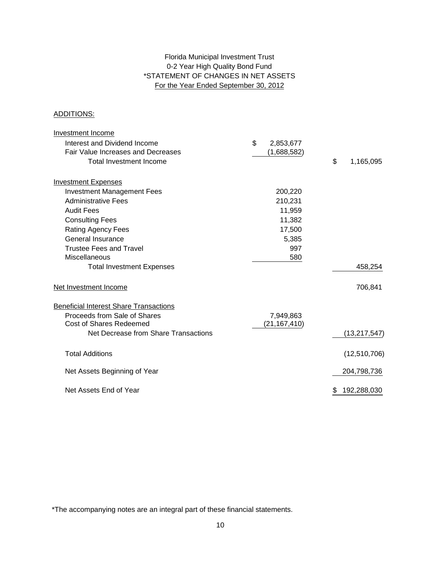## 0-2 Year High Quality Bond Fund \*STATEMENT OF CHANGES IN NET ASSETS For the Year Ended September 30, 2012 Florida Municipal Investment Trust

## ADDITIONS:

| Investment Income                             |                 |                 |
|-----------------------------------------------|-----------------|-----------------|
| Interest and Dividend Income                  | \$<br>2,853,677 |                 |
| Fair Value Increases and Decreases            | (1,688,582)     |                 |
| <b>Total Investment Income</b>                |                 | \$<br>1,165,095 |
| <b>Investment Expenses</b>                    |                 |                 |
| <b>Investment Management Fees</b>             | 200,220         |                 |
| <b>Administrative Fees</b>                    | 210,231         |                 |
| <b>Audit Fees</b>                             | 11,959          |                 |
| <b>Consulting Fees</b>                        | 11,382          |                 |
| <b>Rating Agency Fees</b>                     | 17,500          |                 |
| <b>General Insurance</b>                      | 5,385           |                 |
| <b>Trustee Fees and Travel</b>                | 997             |                 |
| Miscellaneous                                 | 580             |                 |
| <b>Total Investment Expenses</b>              |                 | 458,254         |
| Net Investment Income                         |                 | 706,841         |
| <b>Beneficial Interest Share Transactions</b> |                 |                 |
| Proceeds from Sale of Shares                  | 7,949,863       |                 |
| <b>Cost of Shares Redeemed</b>                | (21, 167, 410)  |                 |
| Net Decrease from Share Transactions          |                 | (13, 217, 547)  |
| <b>Total Additions</b>                        |                 | (12,510,706)    |
| Net Assets Beginning of Year                  |                 | 204,798,736     |
| Net Assets End of Year                        |                 | 192,288,030     |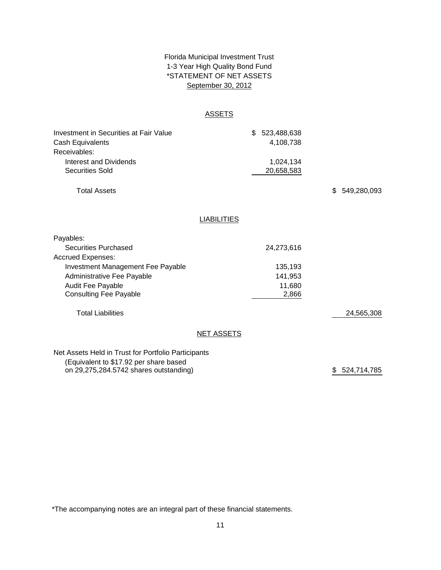## \*STATEMENT OF NET ASSETS Florida Municipal Investment Trust 1-3 Year High Quality Bond Fund September 30, 2012

### **ASSETS**

| Investment in Securities at Fair Value | \$ 523,488,638 |
|----------------------------------------|----------------|
| Cash Equivalents                       | 4.108.738      |
| Receivables:                           |                |
| Interest and Dividends                 | 1.024.134      |
| Securities Sold                        | 20,658,583     |
|                                        |                |

Total Assets

\$ 549,280,093

## **LIABILITIES**

| Payables:                         |            |            |            |
|-----------------------------------|------------|------------|------------|
| Securities Purchased              |            | 24,273,616 |            |
| <b>Accrued Expenses:</b>          |            |            |            |
| Investment Management Fee Payable |            | 135,193    |            |
| Administrative Fee Payable        |            | 141,953    |            |
| Audit Fee Payable                 |            | 11,680     |            |
| <b>Consulting Fee Payable</b>     |            | 2,866      |            |
| <b>Total Liabilities</b>          |            |            | 24,565,308 |
|                                   | NET ASSETS |            |            |
|                                   |            |            |            |

Net Assets Held in Trust for Portfolio Participants (Equivalent to \$17.92 per share based on 29,275,284.5742 shares outstanding)

\$ 524,714,785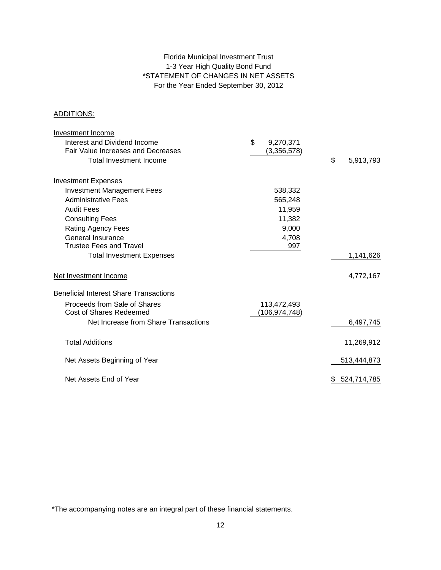## Florida Municipal Investment Trust 1-3 Year High Quality Bond Fund \*STATEMENT OF CHANGES IN NET ASSETS For the Year Ended September 30, 2012

## ADDITIONS:

| <b>Investment Income</b>                      |                 |                   |
|-----------------------------------------------|-----------------|-------------------|
| Interest and Dividend Income                  | \$<br>9,270,371 |                   |
| Fair Value Increases and Decreases            | (3,356,578)     |                   |
| Total Investment Income                       |                 | \$<br>5,913,793   |
| <b>Investment Expenses</b>                    |                 |                   |
| <b>Investment Management Fees</b>             | 538,332         |                   |
| <b>Administrative Fees</b>                    | 565,248         |                   |
| <b>Audit Fees</b>                             | 11,959          |                   |
| <b>Consulting Fees</b>                        | 11,382          |                   |
| Rating Agency Fees                            | 9,000           |                   |
| <b>General Insurance</b>                      | 4,708           |                   |
| <b>Trustee Fees and Travel</b>                | 997             |                   |
| <b>Total Investment Expenses</b>              |                 | 1,141,626         |
| Net Investment Income                         |                 | 4,772,167         |
| <b>Beneficial Interest Share Transactions</b> |                 |                   |
| Proceeds from Sale of Shares                  | 113,472,493     |                   |
| <b>Cost of Shares Redeemed</b>                | (106,974,748)   |                   |
| Net Increase from Share Transactions          |                 | 6,497,745         |
| <b>Total Additions</b>                        |                 | 11,269,912        |
| Net Assets Beginning of Year                  |                 | 513,444,873       |
| Net Assets End of Year                        |                 | \$<br>524,714,785 |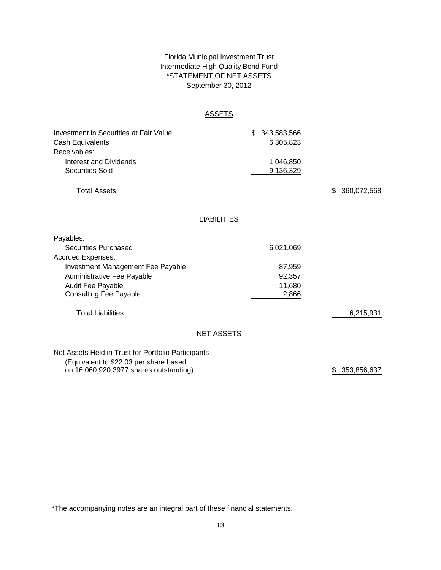## Florida Municipal Investment Trust Intermediate High Quality Bond Fund \*STATEMENT OF NET ASSETS September 30, 2012

### **ASSETS**

| Investment in Securities at Fair Value | \$ 343,583,566 |
|----------------------------------------|----------------|
| Cash Equivalents                       | 6.305.823      |
| Receivables:                           |                |
| Interest and Dividends                 | 1.046.850      |
| Securities Sold                        | 9,136,329      |
|                                        |                |

Total Assets

\$ 360,072,568

## **LIABILITIES**

| Payables:                                           |                   |           |           |
|-----------------------------------------------------|-------------------|-----------|-----------|
| Securities Purchased                                |                   | 6,021,069 |           |
| <b>Accrued Expenses:</b>                            |                   |           |           |
| Investment Management Fee Payable                   |                   | 87,959    |           |
| Administrative Fee Payable                          |                   | 92,357    |           |
| Audit Fee Payable                                   |                   | 11,680    |           |
| <b>Consulting Fee Payable</b>                       |                   | 2,866     |           |
| <b>Total Liabilities</b>                            |                   |           | 6,215,931 |
|                                                     | <b>NET ASSETS</b> |           |           |
| Net Assets Held in Trust for Portfolio Participants |                   |           |           |

(Equivalent to \$22.03 per share based on 16,060,920.3977 shares outstanding)

\$ 353,856,637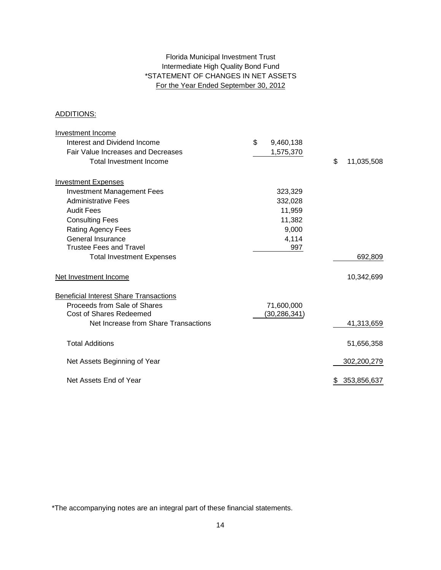## For the Year Ended September 30, 2012 Intermediate High Quality Bond Fund Florida Municipal Investment Trust \*STATEMENT OF CHANGES IN NET ASSETS

## ADDITIONS:

| <b>Investment Income</b>                      |                 |                  |
|-----------------------------------------------|-----------------|------------------|
| Interest and Dividend Income                  | \$<br>9,460,138 |                  |
| Fair Value Increases and Decreases            | 1,575,370       |                  |
| <b>Total Investment Income</b>                |                 | \$<br>11,035,508 |
| <b>Investment Expenses</b>                    |                 |                  |
| <b>Investment Management Fees</b>             | 323,329         |                  |
| <b>Administrative Fees</b>                    | 332,028         |                  |
| <b>Audit Fees</b>                             | 11,959          |                  |
| <b>Consulting Fees</b>                        | 11,382          |                  |
| <b>Rating Agency Fees</b>                     | 9,000           |                  |
| General Insurance                             | 4,114           |                  |
| <b>Trustee Fees and Travel</b>                | 997             |                  |
| <b>Total Investment Expenses</b>              |                 | 692,809          |
| Net Investment Income                         |                 | 10,342,699       |
| <b>Beneficial Interest Share Transactions</b> |                 |                  |
| Proceeds from Sale of Shares                  | 71,600,000      |                  |
| <b>Cost of Shares Redeemed</b>                | (30, 286, 341)  |                  |
| Net Increase from Share Transactions          |                 | 41,313,659       |
| <b>Total Additions</b>                        |                 | 51,656,358       |
| Net Assets Beginning of Year                  |                 | 302,200,279      |
| Net Assets End of Year                        |                 | 353,856,637<br>S |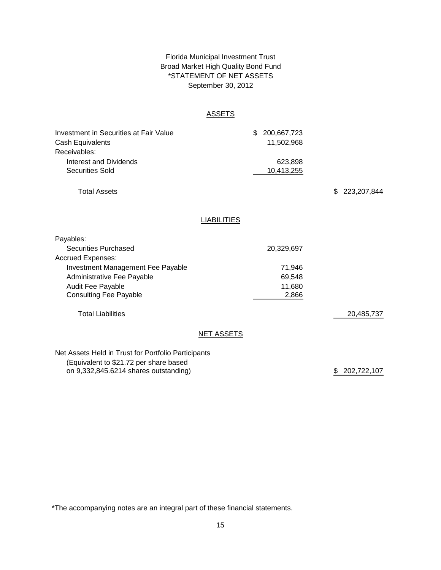## Florida Municipal Investment Trust Broad Market High Quality Bond Fund September 30, 2012 \*STATEMENT OF NET ASSETS

### **ASSETS**

| Investment in Securities at Fair Value | \$ 200,667,723 |
|----------------------------------------|----------------|
| Cash Equivalents                       | 11.502.968     |
| Receivables:                           |                |
| Interest and Dividends                 | 623.898        |
| Securities Sold                        | 10,413,255     |
|                                        |                |

Total Assets

\$ 223,207,844

### **LIABILITIES**

| Payables:                                                                                     |            |            |
|-----------------------------------------------------------------------------------------------|------------|------------|
| <b>Securities Purchased</b>                                                                   | 20,329,697 |            |
| <b>Accrued Expenses:</b>                                                                      |            |            |
| Investment Management Fee Payable                                                             | 71,946     |            |
| Administrative Fee Payable                                                                    | 69,548     |            |
| <b>Audit Fee Payable</b>                                                                      | 11,680     |            |
| <b>Consulting Fee Payable</b>                                                                 | 2,866      |            |
| <b>Total Liabilities</b>                                                                      |            | 20,485,737 |
| <b>NET ASSETS</b>                                                                             |            |            |
| Net Assets Held in Trust for Portfolio Participants<br>(Equivalent to \$21.72 per share based |            |            |

(Equivalent to \$21.72 per share based on 9,332,845.6214 shares outstanding) 202,722,107 \$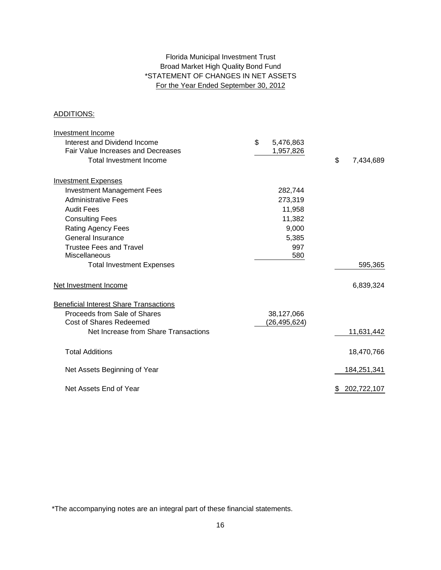## Florida Municipal Investment Trust Broad Market High Quality Bond Fund \*STATEMENT OF CHANGES IN NET ASSETS For the Year Ended September 30, 2012

## ADDITIONS:

| <b>Investment Income</b>                      |                 |                  |
|-----------------------------------------------|-----------------|------------------|
| Interest and Dividend Income                  | \$<br>5,476,863 |                  |
| <b>Fair Value Increases and Decreases</b>     | 1,957,826       |                  |
| <b>Total Investment Income</b>                |                 | \$<br>7,434,689  |
| <b>Investment Expenses</b>                    |                 |                  |
| <b>Investment Management Fees</b>             | 282,744         |                  |
| <b>Administrative Fees</b>                    | 273,319         |                  |
| <b>Audit Fees</b>                             | 11,958          |                  |
| <b>Consulting Fees</b>                        | 11,382          |                  |
| Rating Agency Fees                            | 9,000           |                  |
| <b>General Insurance</b>                      | 5,385           |                  |
| <b>Trustee Fees and Travel</b>                | 997             |                  |
| Miscellaneous                                 | 580             |                  |
| <b>Total Investment Expenses</b>              |                 | 595,365          |
| Net Investment Income                         |                 | 6,839,324        |
| <b>Beneficial Interest Share Transactions</b> |                 |                  |
| Proceeds from Sale of Shares                  | 38,127,066      |                  |
| Cost of Shares Redeemed                       | (26, 495, 624)  |                  |
| Net Increase from Share Transactions          |                 | 11,631,442       |
| <b>Total Additions</b>                        |                 | 18,470,766       |
| Net Assets Beginning of Year                  |                 | 184,251,341      |
| Net Assets End of Year                        |                 | 202,722,107<br>S |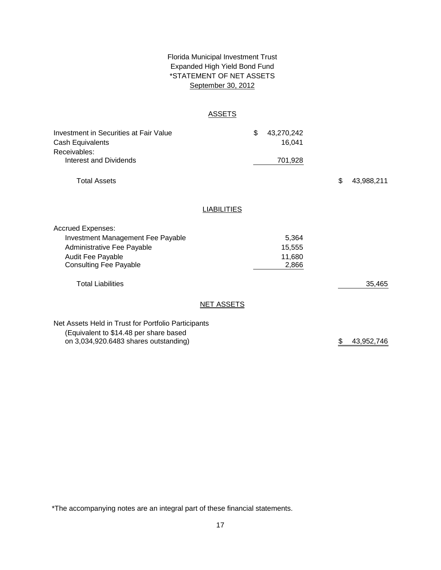## \*STATEMENT OF NET ASSETS Florida Municipal Investment Trust Expanded High Yield Bond Fund September 30, 2012

### **ASSETS**

| Investment in Securities at Fair Value<br>Cash Equivalents<br>Receivables:<br><b>Interest and Dividends</b>                                              |                    | \$<br>43,270,242<br>16,041<br>701,928 |                  |
|----------------------------------------------------------------------------------------------------------------------------------------------------------|--------------------|---------------------------------------|------------------|
| <b>Total Assets</b>                                                                                                                                      |                    |                                       | \$<br>43,988,211 |
|                                                                                                                                                          | <b>LIABILITIES</b> |                                       |                  |
| <b>Accrued Expenses:</b><br><b>Investment Management Fee Payable</b><br>Administrative Fee Payable<br>Audit Fee Payable<br><b>Consulting Fee Payable</b> |                    | 5,364<br>15,555<br>11,680<br>2,866    |                  |
| <b>Total Liabilities</b>                                                                                                                                 |                    |                                       | 35,465           |
|                                                                                                                                                          | <b>NET ASSETS</b>  |                                       |                  |
| Net Assets Held in Trust for Portfolio Participants<br>(Equivalent to \$14.48 per share based<br>on 3,034,920.6483 shares outstanding)                   |                    |                                       | \$<br>43,952,746 |

\*The accompanying notes are an integral part of these financial statements.

on 3,034,920.6483 shares outstanding)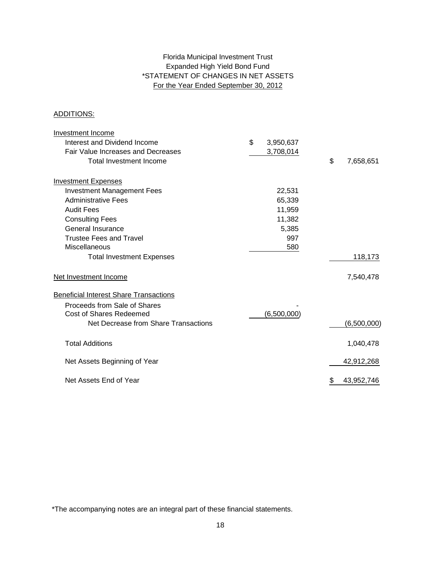## Expanded High Yield Bond Fund \*STATEMENT OF CHANGES IN NET ASSETS For the Year Ended September 30, 2012 Florida Municipal Investment Trust

## ADDITIONS:

| <b>Investment Income</b>                      |                 |                  |
|-----------------------------------------------|-----------------|------------------|
| Interest and Dividend Income                  | \$<br>3,950,637 |                  |
| Fair Value Increases and Decreases            | 3,708,014       |                  |
| <b>Total Investment Income</b>                |                 | \$<br>7,658,651  |
| <b>Investment Expenses</b>                    |                 |                  |
| <b>Investment Management Fees</b>             | 22,531          |                  |
| <b>Administrative Fees</b>                    | 65,339          |                  |
| <b>Audit Fees</b>                             | 11,959          |                  |
| <b>Consulting Fees</b>                        | 11,382          |                  |
| General Insurance                             | 5,385           |                  |
| <b>Trustee Fees and Travel</b>                | 997             |                  |
| Miscellaneous                                 | 580             |                  |
| <b>Total Investment Expenses</b>              |                 | 118,173          |
| Net Investment Income                         |                 | 7,540,478        |
| <b>Beneficial Interest Share Transactions</b> |                 |                  |
| Proceeds from Sale of Shares                  |                 |                  |
| <b>Cost of Shares Redeemed</b>                | (6,500,000)     |                  |
| Net Decrease from Share Transactions          |                 | (6,500,000)      |
| <b>Total Additions</b>                        |                 | 1,040,478        |
| Net Assets Beginning of Year                  |                 | 42,912,268       |
| Net Assets End of Year                        |                 | \$<br>43,952,746 |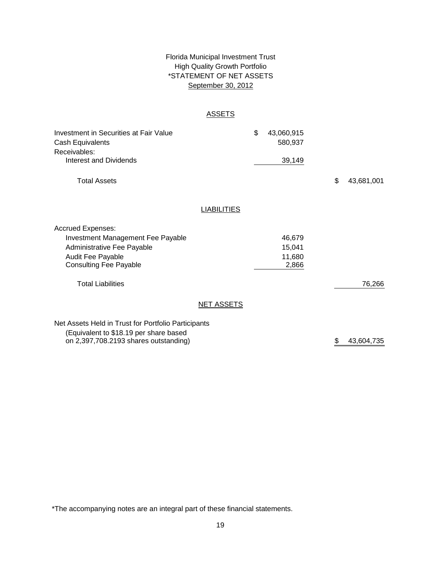## \*STATEMENT OF NET ASSETS Florida Municipal Investment Trust High Quality Growth Portfolio September 30, 2012

## **ASSETS**

| <b>Investment in Securities at Fair Value</b><br>Cash Equivalents<br>Receivables: |                    | \$<br>43,060,915<br>580,937 |                  |
|-----------------------------------------------------------------------------------|--------------------|-----------------------------|------------------|
| <b>Interest and Dividends</b>                                                     |                    | 39,149                      |                  |
| <b>Total Assets</b>                                                               |                    |                             | \$<br>43,681,001 |
|                                                                                   | <b>LIABILITIES</b> |                             |                  |
| <b>Accrued Expenses:</b>                                                          |                    |                             |                  |
| <b>Investment Management Fee Payable</b>                                          |                    | 46,679                      |                  |
| Administrative Fee Payable                                                        |                    | 15,041                      |                  |
| <b>Audit Fee Payable</b>                                                          |                    | 11,680                      |                  |
| <b>Consulting Fee Payable</b>                                                     |                    | 2,866                       |                  |
| <b>Total Liabilities</b>                                                          |                    |                             | 76,266           |
|                                                                                   | <b>NET ASSETS</b>  |                             |                  |
| Net Assets Held in Trust for Portfolio Participants                               |                    |                             |                  |
| (Equivalent to \$18.19 per share based                                            |                    |                             |                  |
| on 2,397,708.2193 shares outstanding)                                             |                    |                             | \$<br>43,604,735 |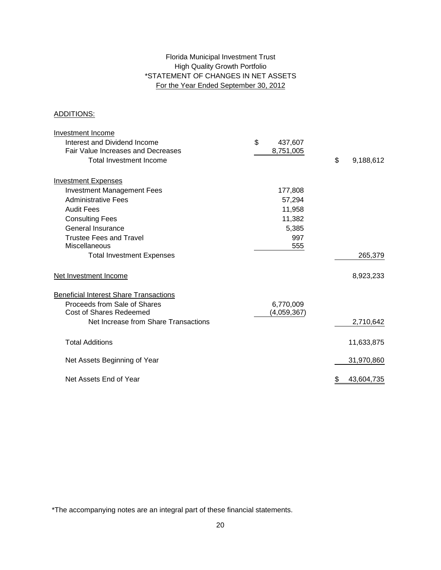## Florida Municipal Investment Trust High Quality Growth Portfolio \*STATEMENT OF CHANGES IN NET ASSETS For the Year Ended September 30, 2012

## ADDITIONS:

| Investment Income                             |               |                  |
|-----------------------------------------------|---------------|------------------|
| Interest and Dividend Income                  | \$<br>437,607 |                  |
| Fair Value Increases and Decreases            | 8,751,005     |                  |
| <b>Total Investment Income</b>                |               | \$<br>9,188,612  |
| <b>Investment Expenses</b>                    |               |                  |
| <b>Investment Management Fees</b>             | 177,808       |                  |
| <b>Administrative Fees</b>                    | 57,294        |                  |
| <b>Audit Fees</b>                             | 11,958        |                  |
| <b>Consulting Fees</b>                        | 11,382        |                  |
| General Insurance                             | 5,385         |                  |
| <b>Trustee Fees and Travel</b>                | 997           |                  |
| Miscellaneous                                 | 555           |                  |
| <b>Total Investment Expenses</b>              |               | 265,379          |
| Net Investment Income                         |               | 8,923,233        |
| <b>Beneficial Interest Share Transactions</b> |               |                  |
| Proceeds from Sale of Shares                  | 6,770,009     |                  |
| <b>Cost of Shares Redeemed</b>                | (4,059,367)   |                  |
| Net Increase from Share Transactions          |               | 2,710,642        |
| <b>Total Additions</b>                        |               | 11,633,875       |
| Net Assets Beginning of Year                  |               | 31,970,860       |
| Net Assets End of Year                        |               | 43,604,735<br>\$ |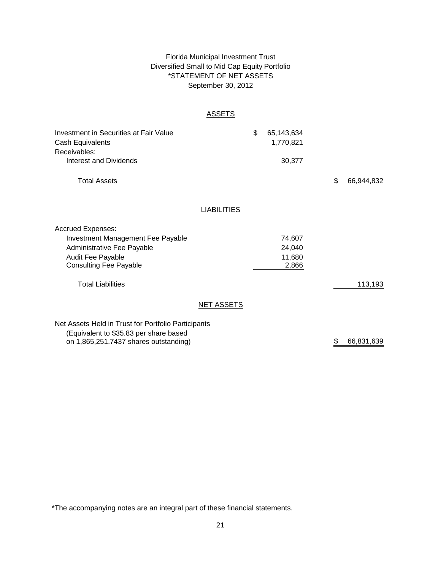## \*STATEMENT OF NET ASSETS Florida Municipal Investment Trust Diversified Small to Mid Cap Equity Portfolio September 30, 2012

## ASSETS

| Investment in Securities at Fair Value<br>Cash Equivalents<br>Receivables:<br>Interest and Dividends                                                     | \$                 | 65,143,634<br>1,770,821<br>30,377   |    |            |
|----------------------------------------------------------------------------------------------------------------------------------------------------------|--------------------|-------------------------------------|----|------------|
| <b>Total Assets</b>                                                                                                                                      |                    |                                     | \$ | 66,944,832 |
|                                                                                                                                                          | <b>LIABILITIES</b> |                                     |    |            |
| <b>Accrued Expenses:</b><br><b>Investment Management Fee Payable</b><br>Administrative Fee Payable<br>Audit Fee Payable<br><b>Consulting Fee Payable</b> |                    | 74,607<br>24,040<br>11,680<br>2,866 |    |            |
| <b>Total Liabilities</b>                                                                                                                                 |                    |                                     |    | 113,193    |
|                                                                                                                                                          | <b>NET ASSETS</b>  |                                     |    |            |
| Net Assets Held in Trust for Portfolio Participants<br>(Equivalent to \$35.83 per share based<br>on 1,865,251.7437 shares outstanding)                   |                    |                                     | \$ | 66,831,639 |

\*The accompanying notes are an integral part of these financial statements.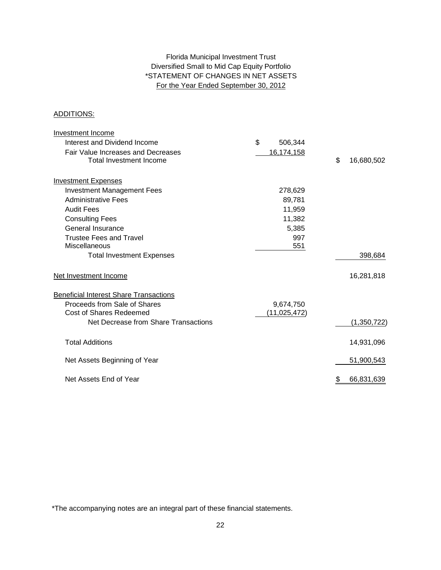## For the Year Ended September 30, 2012 Florida Municipal Investment Trust Diversified Small to Mid Cap Equity Portfolio \*STATEMENT OF CHANGES IN NET ASSETS

#### ADDITIONS:

| Investment Income                             |                |                  |
|-----------------------------------------------|----------------|------------------|
| Interest and Dividend Income                  | \$<br>506,344  |                  |
| Fair Value Increases and Decreases            | 16,174,158     |                  |
| Total Investment Income                       |                | \$<br>16,680,502 |
| <b>Investment Expenses</b>                    |                |                  |
| <b>Investment Management Fees</b>             | 278,629        |                  |
| <b>Administrative Fees</b>                    | 89,781         |                  |
| <b>Audit Fees</b>                             | 11,959         |                  |
| <b>Consulting Fees</b>                        | 11,382         |                  |
| General Insurance                             | 5,385          |                  |
| <b>Trustee Fees and Travel</b>                | 997            |                  |
| Miscellaneous                                 | 551            |                  |
| <b>Total Investment Expenses</b>              |                | 398,684          |
| Net Investment Income                         |                | 16,281,818       |
| <b>Beneficial Interest Share Transactions</b> |                |                  |
| Proceeds from Sale of Shares                  | 9,674,750      |                  |
| <b>Cost of Shares Redeemed</b>                | (11, 025, 472) |                  |
| Net Decrease from Share Transactions          |                | (1,350,722)      |
| <b>Total Additions</b>                        |                | 14,931,096       |
| Net Assets Beginning of Year                  |                | 51,900,543       |
| Net Assets End of Year                        |                | \$<br>66,831,639 |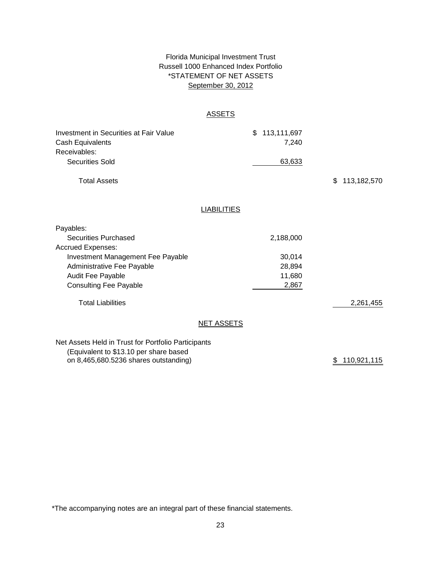## Florida Municipal Investment Trust Russell 1000 Enhanced Index Portfolio September 30, 2012 \*STATEMENT OF NET ASSETS

## **ASSETS**

| Investment in Securities at Fair Value<br>Cash Equivalents<br>Receivables:                    | $\mathcal{S}$<br>113,111,697<br>7,240 |                   |
|-----------------------------------------------------------------------------------------------|---------------------------------------|-------------------|
| <b>Securities Sold</b>                                                                        | 63,633                                |                   |
| <b>Total Assets</b>                                                                           |                                       | \$<br>113,182,570 |
| <b>LIABILITIES</b>                                                                            |                                       |                   |
|                                                                                               |                                       |                   |
| Payables:                                                                                     |                                       |                   |
| <b>Securities Purchased</b>                                                                   | 2,188,000                             |                   |
| <b>Accrued Expenses:</b>                                                                      |                                       |                   |
| <b>Investment Management Fee Payable</b>                                                      | 30,014                                |                   |
| Administrative Fee Payable                                                                    | 28,894                                |                   |
| Audit Fee Payable                                                                             | 11,680                                |                   |
| <b>Consulting Fee Payable</b>                                                                 | 2,867                                 |                   |
| <b>Total Liabilities</b>                                                                      |                                       | 2,261,455         |
| <b>NET ASSETS</b>                                                                             |                                       |                   |
| Net Assets Held in Trust for Portfolio Participants<br>(Equivalent to \$13.10 per share based |                                       |                   |

on 8,465,680.5236 shares outstanding)

\$ 110,921,115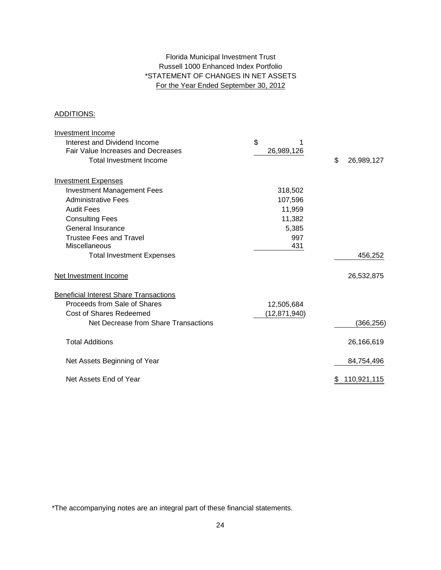## For the Year Ended September 30, 2012 Russell 1000 Enhanced Index Portfolio \*STATEMENT OF CHANGES IN NET ASSETS Florida Municipal Investment Trust

## ADDITIONS:

| Investment Income                             |                |                  |
|-----------------------------------------------|----------------|------------------|
| Interest and Dividend Income                  | \$             |                  |
| Fair Value Increases and Decreases            | 26,989,126     |                  |
| <b>Total Investment Income</b>                |                | \$<br>26,989,127 |
| <b>Investment Expenses</b>                    |                |                  |
| <b>Investment Management Fees</b>             | 318,502        |                  |
| <b>Administrative Fees</b>                    | 107,596        |                  |
| <b>Audit Fees</b>                             | 11,959         |                  |
| <b>Consulting Fees</b>                        | 11,382         |                  |
| General Insurance                             | 5,385          |                  |
| <b>Trustee Fees and Travel</b>                | 997            |                  |
| Miscellaneous                                 | 431            |                  |
| <b>Total Investment Expenses</b>              |                | 456,252          |
| Net Investment Income                         |                | 26,532,875       |
| <b>Beneficial Interest Share Transactions</b> |                |                  |
| Proceeds from Sale of Shares                  | 12,505,684     |                  |
| <b>Cost of Shares Redeemed</b>                | (12, 871, 940) |                  |
| Net Decrease from Share Transactions          |                | (366,256)        |
| <b>Total Additions</b>                        |                | 26,166,619       |
| Net Assets Beginning of Year                  |                | 84,754,496       |
| Net Assets End of Year                        |                | 110,921,115      |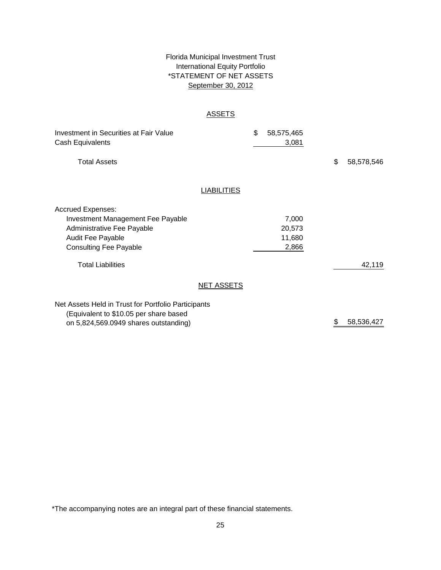## \*STATEMENT OF NET ASSETS Florida Municipal Investment Trust International Equity Portfolio September 30, 2012

## **ASSETS**

| Investment in Securities at Fair Value<br>Cash Equivalents                                                                                                      |                    | \$<br>58,575,465<br>3,081          |    |            |
|-----------------------------------------------------------------------------------------------------------------------------------------------------------------|--------------------|------------------------------------|----|------------|
| <b>Total Assets</b>                                                                                                                                             |                    |                                    | \$ | 58,578,546 |
|                                                                                                                                                                 | <b>LIABILITIES</b> |                                    |    |            |
| <b>Accrued Expenses:</b><br><b>Investment Management Fee Payable</b><br>Administrative Fee Payable<br><b>Audit Fee Payable</b><br><b>Consulting Fee Payable</b> |                    | 7,000<br>20,573<br>11,680<br>2,866 |    |            |
| <b>Total Liabilities</b>                                                                                                                                        |                    |                                    |    | 42,119     |
|                                                                                                                                                                 | <b>NET ASSETS</b>  |                                    |    |            |
| Net Assets Held in Trust for Portfolio Participants<br>(Equivalent to \$10.05 per share based                                                                   |                    |                                    |    |            |

on 5,824,569.0949 shares outstanding)

\$ 58,536,427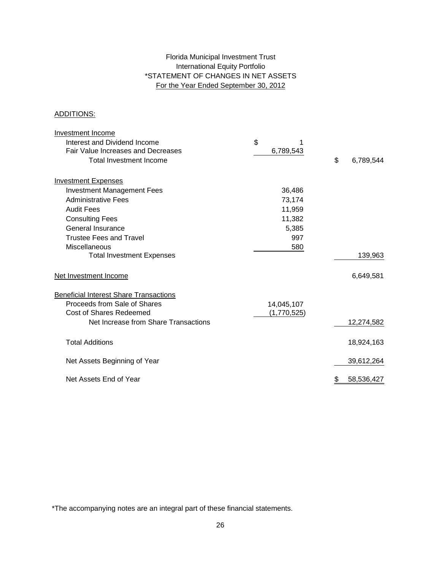## Florida Municipal Investment Trust International Equity Portfolio \*STATEMENT OF CHANGES IN NET ASSETS For the Year Ended September 30, 2012

## ADDITIONS:

| Investment Income                             |             |                 |
|-----------------------------------------------|-------------|-----------------|
| Interest and Dividend Income                  | \$          |                 |
| Fair Value Increases and Decreases            | 6,789,543   |                 |
| <b>Total Investment Income</b>                |             | \$<br>6,789,544 |
| <b>Investment Expenses</b>                    |             |                 |
| <b>Investment Management Fees</b>             | 36,486      |                 |
| <b>Administrative Fees</b>                    | 73,174      |                 |
| <b>Audit Fees</b>                             | 11,959      |                 |
| <b>Consulting Fees</b>                        | 11,382      |                 |
| General Insurance                             | 5,385       |                 |
| <b>Trustee Fees and Travel</b>                | 997         |                 |
| Miscellaneous                                 | 580         |                 |
| <b>Total Investment Expenses</b>              |             | 139,963         |
| Net Investment Income                         |             | 6,649,581       |
| <b>Beneficial Interest Share Transactions</b> |             |                 |
| Proceeds from Sale of Shares                  | 14,045,107  |                 |
| <b>Cost of Shares Redeemed</b>                | (1,770,525) |                 |
| Net Increase from Share Transactions          |             | 12,274,582      |
| <b>Total Additions</b>                        |             | 18,924,163      |
| Net Assets Beginning of Year                  |             | 39,612,264      |
| Net Assets End of Year                        |             | 58,536,427      |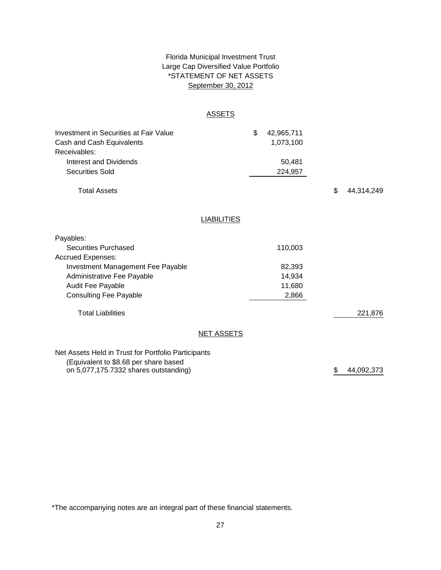## \*STATEMENT OF NET ASSETS Florida Municipal Investment Trust Large Cap Diversified Value Portfolio September 30, 2012

## **ASSETS**

| <b>Investment in Securities at Fair Value</b><br>Cash and Cash Equivalents<br>Receivables: |                    | \$<br>42,965,711<br>1,073,100 |    |            |
|--------------------------------------------------------------------------------------------|--------------------|-------------------------------|----|------------|
| Interest and Dividends                                                                     |                    | 50,481                        |    |            |
|                                                                                            |                    |                               |    |            |
| <b>Securities Sold</b>                                                                     |                    | 224,957                       |    |            |
| <b>Total Assets</b>                                                                        |                    |                               | \$ | 44,314,249 |
|                                                                                            |                    |                               |    |            |
|                                                                                            | <b>LIABILITIES</b> |                               |    |            |
| Payables:                                                                                  |                    |                               |    |            |
| <b>Securities Purchased</b>                                                                |                    | 110,003                       |    |            |
| <b>Accrued Expenses:</b>                                                                   |                    |                               |    |            |
| Investment Management Fee Payable                                                          |                    | 82,393                        |    |            |
| Administrative Fee Payable                                                                 |                    | 14,934                        |    |            |
| Audit Fee Payable                                                                          |                    | 11,680                        |    |            |
| <b>Consulting Fee Payable</b>                                                              |                    | 2,866                         |    |            |
| <b>Total Liabilities</b>                                                                   |                    |                               |    | 221,876    |
|                                                                                            | <b>NET ASSETS</b>  |                               |    |            |
|                                                                                            |                    |                               |    |            |
| Net Assets Held in Trust for Portfolio Participants                                        |                    |                               |    |            |
| (Equivalent to \$8.68 per share based                                                      |                    |                               |    |            |
| on 5,077,175.7332 shares outstanding)                                                      |                    |                               | \$ | 44,092,373 |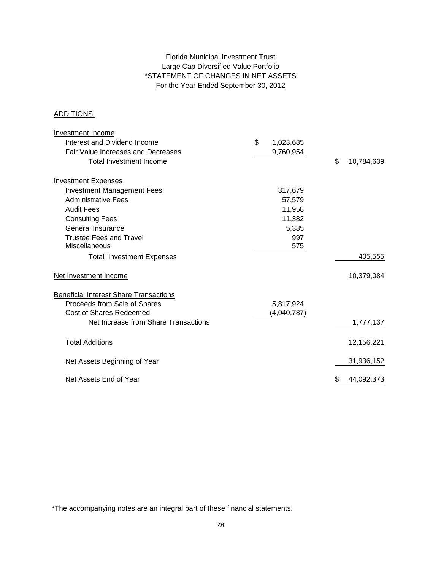## Large Cap Diversified Value Portfolio \*STATEMENT OF CHANGES IN NET ASSETS For the Year Ended September 30, 2012 Florida Municipal Investment Trust

## ADDITIONS:

| Investment Income                             |                 |         |                  |
|-----------------------------------------------|-----------------|---------|------------------|
| Interest and Dividend Income                  | \$<br>1,023,685 |         |                  |
| <b>Fair Value Increases and Decreases</b>     | 9,760,954       |         |                  |
| <b>Total Investment Income</b>                |                 |         | \$<br>10,784,639 |
| <b>Investment Expenses</b>                    |                 |         |                  |
| <b>Investment Management Fees</b>             |                 | 317,679 |                  |
| <b>Administrative Fees</b>                    |                 | 57,579  |                  |
| <b>Audit Fees</b>                             |                 | 11,958  |                  |
| <b>Consulting Fees</b>                        |                 | 11,382  |                  |
| General Insurance                             |                 | 5,385   |                  |
| <b>Trustee Fees and Travel</b>                |                 | 997     |                  |
| Miscellaneous                                 |                 | 575     |                  |
| <b>Total Investment Expenses</b>              |                 |         | 405,555          |
| Net Investment Income                         |                 |         | 10,379,084       |
| <b>Beneficial Interest Share Transactions</b> |                 |         |                  |
| Proceeds from Sale of Shares                  | 5,817,924       |         |                  |
| <b>Cost of Shares Redeemed</b>                | (4,040,787)     |         |                  |
| Net Increase from Share Transactions          |                 |         | 1,777,137        |
| <b>Total Additions</b>                        |                 |         | 12,156,221       |
| Net Assets Beginning of Year                  |                 |         | 31,936,152       |
| Net Assets End of Year                        |                 |         | \$<br>44,092,373 |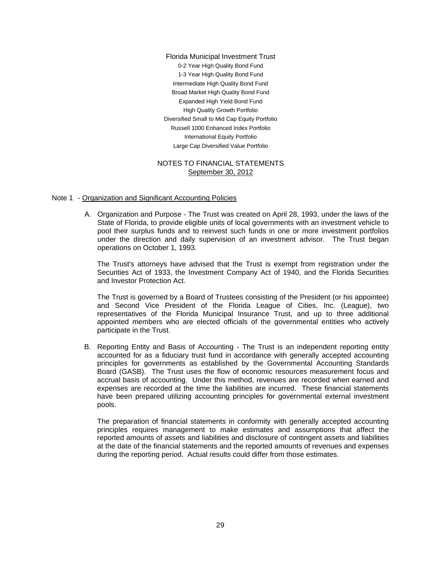0-2 Year High Quality Bond Fund International Equity Portfolio Florida Municipal Investment Trust Intermediate High Quality Bond Fund 1-3 Year High Quality Bond Fund Broad Market High Quality Bond Fund High Quality Growth Portfolio Diversified Small to Mid Cap Equity Portfolio Large Cap Diversified Value Portfolio Expanded High Yield Bond Fund Russell 1000 Enhanced Index Portfolio

### NOTES TO FINANCIAL STATEMENTS September 30, 2012

#### Note 1 - Organization and Significant Accounting Policies

A. Organization and Purpose - The Trust was created on April 28, 1993, under the laws of the State of Florida, to provide eligible units of local governments with an investment vehicle to pool their surplus funds and to reinvest such funds in one or more investment portfolios under the direction and daily supervision of an investment advisor. The Trust began operations on October 1, 1993.

The Trust's attorneys have advised that the Trust is exempt from registration under the Securities Act of 1933, the Investment Company Act of 1940, and the Florida Securities and Investor Protection Act.

The Trust is governed by a Board of Trustees consisting of the President (or his appointee) and Second Vice President of the Florida League of Cities, Inc. (League), two representatives of the Florida Municipal Insurance Trust, and up to three additional appointed members who are elected officials of the governmental entities who actively participate in the Trust.

B. Reporting Entity and Basis of Accounting - The Trust is an independent reporting entity accounted for as a fiduciary trust fund in accordance with generally accepted accounting principles for governments as established by the Governmental Accounting Standards Board (GASB). The Trust uses the flow of economic resources measurement focus and accrual basis of accounting. Under this method, revenues are recorded when earned and expenses are recorded at the time the liabilities are incurred. These financial statements have been prepared utilizing accounting principles for governmental external investment pools.

The preparation of financial statements in conformity with generally accepted accounting principles requires management to make estimates and assumptions that affect the reported amounts of assets and liabilities and disclosure of contingent assets and liabilities at the date of the financial statements and the reported amounts of revenues and expenses during the reporting period. Actual results could differ from those estimates.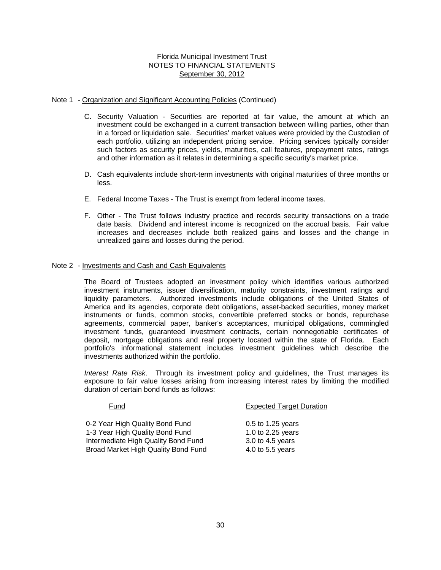### Note 1 - Organization and Significant Accounting Policies (Continued)

- C. Security Valuation Securities are reported at fair value, the amount at which an investment could be exchanged in a current transaction between willing parties, other than in a forced or liquidation sale. Securities' market values were provided by the Custodian of each portfolio, utilizing an independent pricing service. Pricing services typically consider such factors as security prices, yields, maturities, call features, prepayment rates, ratings and other information as it relates in determining a specific security's market price.
- D. Cash equivalents include short-term investments with original maturities of three months or less.
- E. Federal Income Taxes The Trust is exempt from federal income taxes.
- F. Other The Trust follows industry practice and records security transactions on a trade date basis. Dividend and interest income is recognized on the accrual basis. Fair value increases and decreases include both realized gains and losses and the change in unrealized gains and losses during the period.

#### Note 2 - Investments and Cash and Cash Equivalents

The Board of Trustees adopted an investment policy which identifies various authorized investment instruments, issuer diversification, maturity constraints, investment ratings and liquidity parameters. Authorized investments include obligations of the United States of America and its agencies, corporate debt obligations, asset-backed securities, money market instruments or funds, common stocks, convertible preferred stocks or bonds, repurchase agreements, commercial paper, banker's acceptances, municipal obligations, commingled investment funds, guaranteed investment contracts, certain nonnegotiable certificates of deposit, mortgage obligations and real property located within the state of Florida. Each portfolio's informational statement includes investment guidelines which describe the investments authorized within the portfolio.

*Interest Rate Risk*. Through its investment policy and guidelines, the Trust manages its exposure to fair value losses arising from increasing interest rates by limiting the modified duration of certain bond funds as follows:

| Fund                                | <b>Expected Target Duration</b> |
|-------------------------------------|---------------------------------|
| 0-2 Year High Quality Bond Fund     | $0.5$ to 1.25 years             |
| 1-3 Year High Quality Bond Fund     | 1.0 to 2.25 years               |
| Intermediate High Quality Bond Fund | 3.0 to 4.5 years                |
| Broad Market High Quality Bond Fund | 4.0 to 5.5 years                |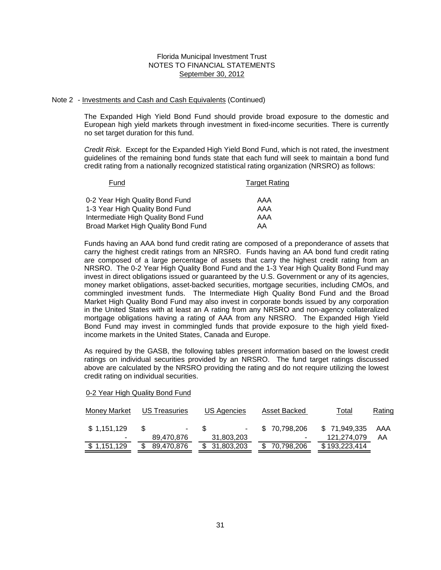#### Note 2 - Investments and Cash and Cash Equivalents (Continued)

The Expanded High Yield Bond Fund should provide broad exposure to the domestic and European high yield markets through investment in fixed-income securities. There is currently no set target duration for this fund.

*Credit Risk*. Except for the Expanded High Yield Bond Fund, which is not rated, the investment guidelines of the remaining bond funds state that each fund will seek to maintain a bond fund credit rating from a nationally recognized statistical rating organization (NRSRO) as follows:

| Fund                                | <b>Target Rating</b> |
|-------------------------------------|----------------------|
| 0-2 Year High Quality Bond Fund     | AAA                  |
| 1-3 Year High Quality Bond Fund     | AAA                  |
| Intermediate High Quality Bond Fund | AAA                  |
| Broad Market High Quality Bond Fund | AA                   |

Funds having an AAA bond fund credit rating are composed of a preponderance of assets that carry the highest credit ratings from an NRSRO. Funds having an AA bond fund credit rating are composed of a large percentage of assets that carry the highest credit rating from an NRSRO. The 0-2 Year High Quality Bond Fund and the 1-3 Year High Quality Bond Fund may invest in direct obligations issued or guaranteed by the U.S. Government or any of its agencies, money market obligations, asset-backed securities, mortgage securities, including CMOs, and commingled investment funds. The Intermediate High Quality Bond Fund and the Broad Market High Quality Bond Fund may also invest in corporate bonds issued by any corporation in the United States with at least an A rating from any NRSRO and non-agency collateralized mortgage obligations having a rating of AAA from any NRSRO. The Expanded High Yield Bond Fund may invest in commingled funds that provide exposure to the high yield fixedincome markets in the United States, Canada and Europe.

As required by the GASB, the following tables present information based on the lowest credit ratings on individual securities provided by an NRSRO. The fund target ratings discussed above are calculated by the NRSRO providing the rating and do not require utilizing the lowest credit rating on individual securities.

| Money Market | <b>US Treasuries</b> | US Agencies  | Asset Backed | Total         | <b>Rating</b> |
|--------------|----------------------|--------------|--------------|---------------|---------------|
| \$1,151,129  | $\sim$               | $\sim$       | \$70,798,206 | \$71,949,335  | AAA           |
| ۰            | 89,470,876           | 31,803,203   |              | 121,274,079   | AA            |
| \$1,151,129  | 89,470,876<br>S      | \$31,803,203 | \$70,798,206 | \$193,223,414 |               |

#### 0-2 Year High Quality Bond Fund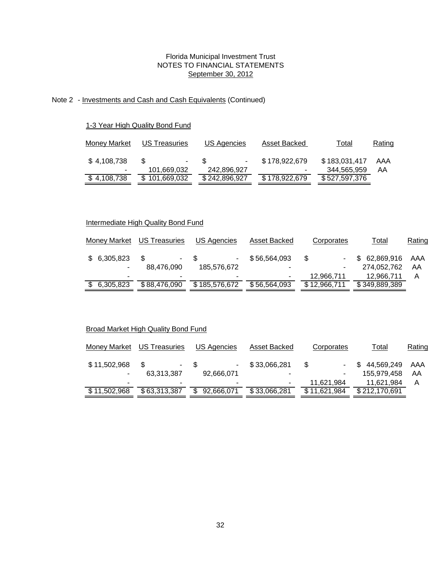## Note 2 - Investments and Cash and Cash Equivalents (Continued)

## 1-3 Year High Quality Bond Fund

| Money Market | US Treasuries | US Agencies   | Asset Backed  | Total         | Rating |
|--------------|---------------|---------------|---------------|---------------|--------|
| \$4,108,738  | ۰             | £.            | \$178,922,679 | \$183,031,417 | AAA    |
| $\sim$       | 101,669,032   | 242,896,927   | ۰             | 344,565,959   | AA     |
| \$4,108,738  | \$101,669,032 | \$242,896,927 | \$178,922,679 | \$527,597,376 |        |
|              |               |               |               |               |        |

## Intermediate High Quality Bond Fund

| <b>Money Market</b> | <b>US Treasuries</b> | US Agencies   | Asset Backed | Corporates   | Total         | Rating |
|---------------------|----------------------|---------------|--------------|--------------|---------------|--------|
| \$6,305,823         |                      | - \$          | \$56,564,093 | \$.          | \$62,869,916  | AAA    |
|                     | 88.476.090           | 185.576.672   | ۰            | ۰            | 274.052.762   | AA     |
|                     |                      |               | ٠            | 12.966.711   | 12.966.711    | Α      |
| \$ 6,305,823        | \$88,476,090         | \$185,576,672 | \$56.564.093 | \$12,966,711 | \$349,889,389 |        |

## Broad Market High Quality Bond Fund

| Money Market | US Treasuries | US Agencies | Asset Backed | Corporates   | Total         | Rating |
|--------------|---------------|-------------|--------------|--------------|---------------|--------|
| \$11,502,968 | ۰.            | - \$        | \$33,066,281 | S<br>۰.      | \$44,569,249  | AAA    |
| ٠            | 63,313,387    | 92,666,071  | ٠            | ۰            | 155,979,458   | AA     |
| -            |               |             | ۰            | 11,621,984   | 11,621,984    | А      |
| \$11,502,968 | \$63,313,387  | 92,666,071  | \$33,066,281 | \$11,621,984 | \$212,170,691 |        |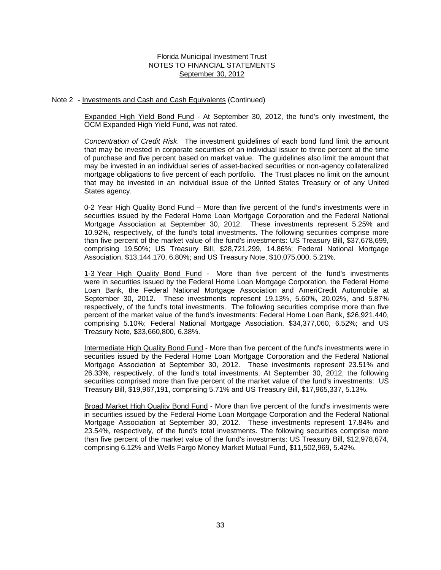#### Note 2 - Investments and Cash and Cash Equivalents (Continued)

Expanded High Yield Bond Fund - At September 30, 2012, the fund's only investment, the OCM Expanded High Yield Fund, was not rated.

*Concentration of Credit Risk*. The investment guidelines of each bond fund limit the amount that may be invested in corporate securities of an individual issuer to three percent at the time of purchase and five percent based on market value. The guidelines also limit the amount that may be invested in an individual series of asset-backed securities or non-agency collateralized mortgage obligations to five percent of each portfolio. The Trust places no limit on the amount that may be invested in an individual issue of the United States Treasury or of any United States agency.

0-2 Year High Quality Bond Fund – More than five percent of the fund's investments were in securities issued by the Federal Home Loan Mortgage Corporation and the Federal National Mortgage Association at September 30, 2012. These investments represent 5.25% and 10.92%, respectively, of the fund's total investments. The following securities comprise more than five percent of the market value of the fund's investments: US Treasury Bill, \$37,678,699, comprising 19.50%; US Treasury Bill, \$28,721,299, 14.86%; Federal National Mortgage Association, \$13,144,170, 6.80%; and US Treasury Note, \$10,075,000, 5.21%.

1-3 Year High Quality Bond Fund - More than five percent of the fund's investments were in securities issued by the Federal Home Loan Mortgage Corporation, the Federal Home Loan Bank, the Federal National Mortgage Association and AmeriCredit Automobile at September 30, 2012. These investments represent 19.13%, 5.60%, 20.02%, and 5.87% respectively, of the fund's total investments. The following securities comprise more than five percent of the market value of the fund's investments: Federal Home Loan Bank, \$26,921,440, comprising 5.10%; Federal National Mortgage Association, \$34,377,060, 6.52%; and US Treasury Note, \$33,660,800, 6.38%.

Intermediate High Quality Bond Fund - More than five percent of the fund's investments were in securities issued by the Federal Home Loan Mortgage Corporation and the Federal National Mortgage Association at September 30, 2012. These investments represent 23.51% and 26.33%, respectively, of the fund's total investments. At September 30, 2012, the following securities comprised more than five percent of the market value of the fund's investments: US Treasury Bill, \$19,967,191, comprising 5.71% and US Treasury Bill, \$17,965,337, 5.13%.

Broad Market High Quality Bond Fund - More than five percent of the fund's investments were in securities issued by the Federal Home Loan Mortgage Corporation and the Federal National Mortgage Association at September 30, 2012. These investments represent 17.84% and 23.54%, respectively, of the fund's total investments. The following securities comprise more than five percent of the market value of the fund's investments: US Treasury Bill, \$12,978,674, comprising 6.12% and Wells Fargo Money Market Mutual Fund, \$11,502,969, 5.42%.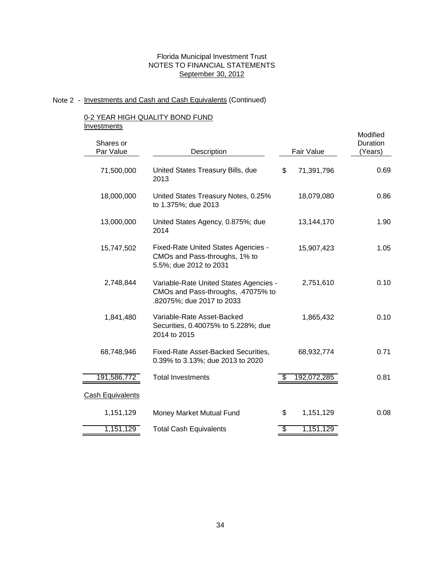#### Note 2 - Investments and Cash and Cash Equivalents (Continued)

#### 0-2 YEAR HIGH QUALITY BOND FUND **Investments**

0.69 0.86 0.10 0.71 191,586,772 Total Investments **5 192,072,285 Cash Equivalents** 0.08 1,151,129 Total Cash Equivalents **5** 1,151,129 2,751,610 1,841,480 18,000,000 1,151,129 Money Market Mutual Fund Variable-Rate United States Agencies - CMOs and Pass-throughs, .47075% to .82075%; due 2017 to 2033 2,748,844 68,748,946 Fixed-Rate Asset-Backed Securities, 68,932,774 0.39% to 3.13%; due 2013 to 2020 0.81 United States Treasury Notes, 0.25% to 1.375%; due 2013 Fixed-Rate United States Agencies - CMOs and Pass-throughs, 1% to 5.5%; due 2012 to 2031 15,747,502 1.90 United States Treasury Bills, due 2013 18,079,080 \$ 71,391,796 United States Agency, 0.875%; due 13,144,170 13,000,000 2014 \$ 1,151,129 1.05 0.10 1,865,432 Fair Value 71,500,000 15,907,423 Modified Shares or **Duration Community Community** Community Community Community Community Community Community Community Community Community Community Community Community Community Community Community Community Community Community C Par Value **Description Constant Constructs Constructs Constructs Constructs Constructs Constructs Constructs Constructs Constructs Constructs Constructs Constructs Constructs Constructs Constr** Variable-Rate Asset-Backed Securities, 0.40075% to 5.228%; due 2014 to 2015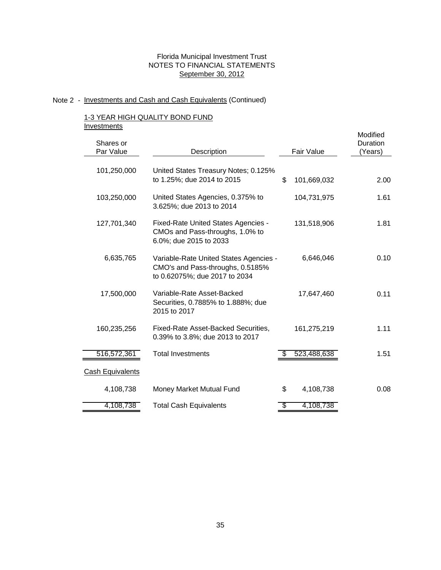# Note 2 - Investments and Cash and Cash Equivalents (Continued)

## 1-3 YEAR HIGH QUALITY BOND FUND **Investments**

|                                        |                                                                                                                                                                                                                                                                                                                                                                     |             | Modified<br>Duration                            |
|----------------------------------------|---------------------------------------------------------------------------------------------------------------------------------------------------------------------------------------------------------------------------------------------------------------------------------------------------------------------------------------------------------------------|-------------|-------------------------------------------------|
|                                        |                                                                                                                                                                                                                                                                                                                                                                     |             | (Years)                                         |
|                                        |                                                                                                                                                                                                                                                                                                                                                                     |             |                                                 |
| United States Treasury Notes; 0.125%   |                                                                                                                                                                                                                                                                                                                                                                     |             |                                                 |
|                                        | \$                                                                                                                                                                                                                                                                                                                                                                  | 101,669,032 | 2.00                                            |
| United States Agencies, 0.375% to      |                                                                                                                                                                                                                                                                                                                                                                     | 104,731,975 | 1.61                                            |
|                                        |                                                                                                                                                                                                                                                                                                                                                                     |             |                                                 |
| Fixed-Rate United States Agencies -    |                                                                                                                                                                                                                                                                                                                                                                     | 131,518,906 | 1.81                                            |
|                                        |                                                                                                                                                                                                                                                                                                                                                                     |             |                                                 |
|                                        |                                                                                                                                                                                                                                                                                                                                                                     |             |                                                 |
| Variable-Rate United States Agencies - |                                                                                                                                                                                                                                                                                                                                                                     | 6,646,046   | 0.10                                            |
|                                        |                                                                                                                                                                                                                                                                                                                                                                     |             |                                                 |
|                                        |                                                                                                                                                                                                                                                                                                                                                                     |             |                                                 |
| Variable-Rate Asset-Backed             |                                                                                                                                                                                                                                                                                                                                                                     | 17,647,460  | 0.11                                            |
|                                        |                                                                                                                                                                                                                                                                                                                                                                     |             |                                                 |
|                                        |                                                                                                                                                                                                                                                                                                                                                                     |             |                                                 |
|                                        |                                                                                                                                                                                                                                                                                                                                                                     |             | 1.11                                            |
|                                        |                                                                                                                                                                                                                                                                                                                                                                     |             |                                                 |
|                                        |                                                                                                                                                                                                                                                                                                                                                                     |             | 1.51                                            |
|                                        |                                                                                                                                                                                                                                                                                                                                                                     |             |                                                 |
| Money Market Mutual Fund               | \$                                                                                                                                                                                                                                                                                                                                                                  | 4,108,738   | 0.08                                            |
| <b>Total Cash Equivalents</b>          | \$                                                                                                                                                                                                                                                                                                                                                                  | 4,108,738   |                                                 |
|                                        | Description<br>to 1.25%; due 2014 to 2015<br>3.625%; due 2013 to 2014<br>CMOs and Pass-throughs, 1.0% to<br>6.0%; due 2015 to 2033<br>CMO's and Pass-throughs, 0.5185%<br>to 0.62075%; due 2017 to 2034<br>Securities, 0.7885% to 1.888%; due<br>2015 to 2017<br>Fixed-Rate Asset-Backed Securities,<br>0.39% to 3.8%; due 2013 to 2017<br><b>Total Investments</b> |             | <b>Fair Value</b><br>161,275,219<br>523,488,638 |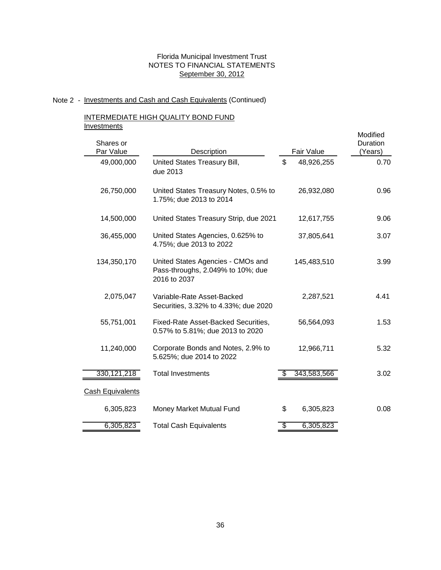#### Note 2 - Investments and Cash and Cash Equivalents (Continued)

#### INTERMEDIATE HIGH QUALITY BOND FUND **Investments**

United States Treasury Bill, 48,926,255 49,000,000 \$ due 2013 United States Treasury Strip, due 2021 4.41 330,121,218 Total Investments **330,121,218** Total Investments Cash Equivalents Money Market Mutual Fund Total Cash Equivalents 0.08 United States Agencies - CMOs and Pass-throughs, 2.049% to 10%; due 2016 to 2037 3.02 0.70 26,932,080 3.07 37,805,641 United States Treasury Notes, 0.5% to 1.75%; due 2013 to 2014 6,305,823 11,240,000 Corporate Bonds and Notes, 2.9% to 5.625%; due 2014 to 2022 6,305,823 \$ 6,305,823 2,075,047 12,966,711 2,287,521 5.32 145,483,510 Fixed-Rate Asset-Backed Securities, 0.57% to 5.81%; due 2013 to 2020 36,455,000 Modified 55,751,001 Variable-Rate Asset-Backed Securities, 3.32% to 4.33%; due 2020 3.99 1.53 United States Agencies, 0.625% to 4.75%; due 2013 to 2022 134,350,170 Shares or **Description**  26,750,000 \$ 6,305,823 56,564,093 9.06 (Years) 14,500,000 Duration Par Value 12,617,755 0.96 Fair Value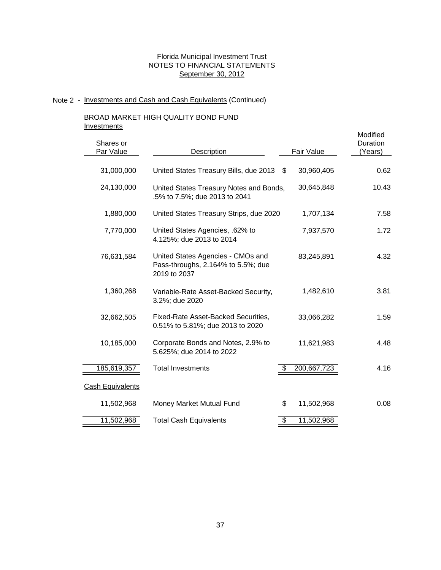# Note 2 - Investments and Cash and Cash Equivalents (Continued)

# BROAD MARKET HIGH QUALITY BOND FUND

**Investments** 

| <br>Shares or           |                                                                                         |                  | Modified<br>Duration |
|-------------------------|-----------------------------------------------------------------------------------------|------------------|----------------------|
| Par Value               | Description                                                                             | Fair Value       | (Years)              |
|                         |                                                                                         |                  |                      |
| 31,000,000              | United States Treasury Bills, due 2013 \$                                               | 30,960,405       | 0.62                 |
| 24,130,000              | United States Treasury Notes and Bonds,<br>.5% to 7.5%; due 2013 to 2041                | 30,645,848       | 10.43                |
| 1,880,000               | United States Treasury Strips, due 2020                                                 | 1,707,134        | 7.58                 |
| 7,770,000               | United States Agencies, .62% to<br>4.125%; due 2013 to 2014                             | 7,937,570        | 1.72                 |
| 76,631,584              | United States Agencies - CMOs and<br>Pass-throughs, 2.164% to 5.5%; due<br>2019 to 2037 | 83,245,891       | 4.32                 |
| 1,360,268               | Variable-Rate Asset-Backed Security,<br>3.2%; due 2020                                  | 1,482,610        | 3.81                 |
| 32,662,505              | <b>Fixed-Rate Asset-Backed Securities,</b><br>0.51% to 5.81%; due 2013 to 2020          | 33,066,282       | 1.59                 |
| 10,185,000              | Corporate Bonds and Notes, 2.9% to<br>5.625%; due 2014 to 2022                          | 11,621,983       | 4.48                 |
| 185,619,357             | <b>Total Investments</b>                                                                | 200,667,723      | 4.16                 |
| <b>Cash Equivalents</b> |                                                                                         |                  |                      |
| 11,502,968              | Money Market Mutual Fund                                                                | \$<br>11,502,968 | 0.08                 |
| 11,502,968              | <b>Total Cash Equivalents</b>                                                           | \$<br>11,502,968 |                      |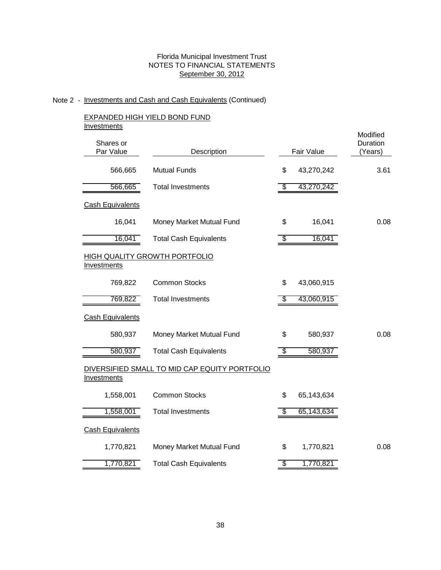# Note 2 - Investments and Cash and Cash Equivalents (Continued)

## EXPANDED HIGH YIELD BOND FUND **Investments**

|                         |                                               |            |            | Modified            |
|-------------------------|-----------------------------------------------|------------|------------|---------------------|
| Shares or<br>Par Value  | Description                                   | Fair Value |            | Duration<br>(Years) |
| 566,665                 | <b>Mutual Funds</b>                           | \$         | 43,270,242 | 3.61                |
| 566,665                 | <b>Total Investments</b>                      | \$         | 43,270,242 |                     |
| <b>Cash Equivalents</b> |                                               |            |            |                     |
| 16,041                  | Money Market Mutual Fund                      | \$         | 16,041     | 0.08                |
| 16,041                  | <b>Total Cash Equivalents</b>                 | \$         | 16,041     |                     |
| <b>Investments</b>      | <b>HIGH QUALITY GROWTH PORTFOLIO</b>          |            |            |                     |
| 769,822                 | <b>Common Stocks</b>                          | \$         | 43,060,915 |                     |
| 769,822                 | <b>Total Investments</b>                      | S          | 43,060,915 |                     |
| <b>Cash Equivalents</b> |                                               |            |            |                     |
| 580,937                 | Money Market Mutual Fund                      | \$         | 580,937    | 0.08                |
| 580,937                 | <b>Total Cash Equivalents</b>                 | \$         | 580,937    |                     |
| Investments             | DIVERSIFIED SMALL TO MID CAP EQUITY PORTFOLIO |            |            |                     |
| 1,558,001               | <b>Common Stocks</b>                          | \$         | 65,143,634 |                     |
| 1,558,001               | <b>Total Investments</b>                      | \$         | 65,143,634 |                     |
| <b>Cash Equivalents</b> |                                               |            |            |                     |
| 1,770,821               | Money Market Mutual Fund                      | \$         | 1,770,821  | 0.08                |
| 1,770,821               | <b>Total Cash Equivalents</b>                 | \$         | 1,770,821  |                     |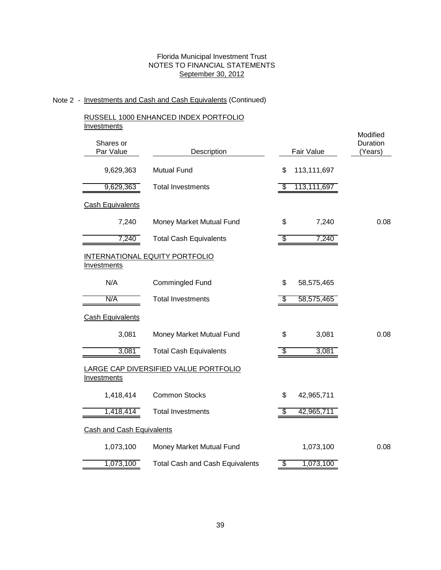# Note 2 - Investments and Cash and Cash Equivalents (Continued)

## RUSSELL 1000 ENHANCED INDEX PORTFOLIO **Investments**

| <u></u>                          |                                              |    |             | Modified            |
|----------------------------------|----------------------------------------------|----|-------------|---------------------|
| Shares or<br>Par Value           | Description                                  |    | Fair Value  | Duration<br>(Years) |
| 9,629,363                        | <b>Mutual Fund</b>                           | \$ | 113,111,697 |                     |
| 9,629,363                        | <b>Total Investments</b>                     | \$ | 113,111,697 |                     |
| <b>Cash Equivalents</b>          |                                              |    |             |                     |
| 7,240                            | Money Market Mutual Fund                     | \$ | 7,240       | 0.08                |
| 7,240                            | <b>Total Cash Equivalents</b>                | \$ | 7,240       |                     |
| <b>Investments</b>               | INTERNATIONAL EQUITY PORTFOLIO               |    |             |                     |
| N/A                              | Commingled Fund                              | \$ | 58,575,465  |                     |
| N/A                              | <b>Total Investments</b>                     | S  | 58,575,465  |                     |
| <b>Cash Equivalents</b>          |                                              |    |             |                     |
| 3,081                            | Money Market Mutual Fund                     | \$ | 3,081       | 0.08                |
| 3,081                            | <b>Total Cash Equivalents</b>                | P. | 3,081       |                     |
| <b>Investments</b>               | <u>LARGE CAP DIVERSIFIED VALUE PORTFOLIO</u> |    |             |                     |
| 1,418,414                        | <b>Common Stocks</b>                         | \$ | 42,965,711  |                     |
| 1,418,414                        | <b>Total Investments</b>                     | æ. | 42,965,711  |                     |
| <b>Cash and Cash Equivalents</b> |                                              |    |             |                     |
| 1,073,100                        | Money Market Mutual Fund                     |    | 1,073,100   | 0.08                |
| 1,073,100                        | <b>Total Cash and Cash Equivalents</b>       | \$ | 1,073,100   |                     |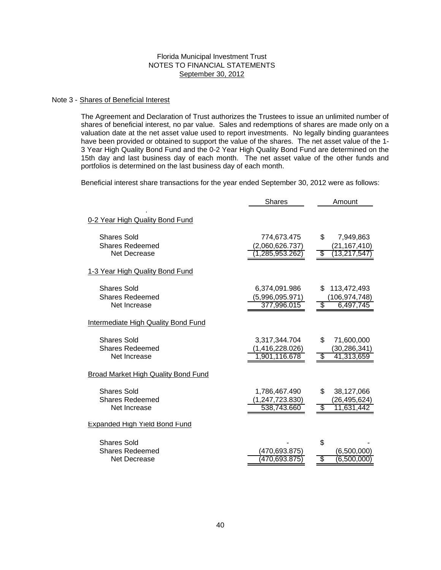#### Note 3 - Shares of Beneficial Interest

The Agreement and Declaration of Trust authorizes the Trustees to issue an unlimited number of shares of beneficial interest, no par value. Sales and redemptions of shares are made only on a valuation date at the net asset value used to report investments. No legally binding guarantees have been provided or obtained to support the value of the shares. The net asset value of the 1- 3 Year High Quality Bond Fund and the 0-2 Year High Quality Bond Fund are determined on the 15th day and last business day of each month. The net asset value of the other funds and portfolios is determined on the last business day of each month.

Beneficial interest share transactions for the year ended September 30, 2012 were as follows:

|                                                              | <b>Shares</b>                                     | Amount                                                |
|--------------------------------------------------------------|---------------------------------------------------|-------------------------------------------------------|
| 0-2 Year High Quality Bond Fund                              |                                                   |                                                       |
| <b>Shares Sold</b><br><b>Shares Redeemed</b><br>Net Decrease | 774,673.475<br>(2,060,626.737)<br>1,285,953.262   | \$<br>7,949,863<br>(21, 167, 410)<br>(13,217,547<br>S |
| 1-3 Year High Quality Bond Fund                              |                                                   |                                                       |
| <b>Shares Sold</b><br><b>Shares Redeemed</b><br>Net Increase | 6,374,091.986<br>(5,996,095.971)<br>377,996.015   | £.<br>113,472,493<br>(106,974,748)<br>6,497,745       |
| <b>Intermediate High Quality Bond Fund</b>                   |                                                   |                                                       |
| <b>Shares Sold</b><br><b>Shares Redeemed</b><br>Net Increase | 3,317,344.704<br>(1,416,228.026)<br>1.901,116.678 | \$.<br>71,600,000<br>(30, 286, 341)<br>41,313,659     |
| Broad Market High Quality Bond Fund                          |                                                   |                                                       |
| <b>Shares Sold</b><br><b>Shares Redeemed</b><br>Net Increase | 1,786,467.490<br>(1, 247, 723.830)<br>538,743.660 | \$<br>38,127,066<br>(26, 495, 624)<br>11,631,442      |
| <b>Expanded High Yield Bond Fund</b>                         |                                                   |                                                       |
| <b>Shares Sold</b><br><b>Shares Redeemed</b><br>Net Decrease | (470,693.875)<br>470,693.875                      | \$<br>(6,500,000)<br>(6,500,000)                      |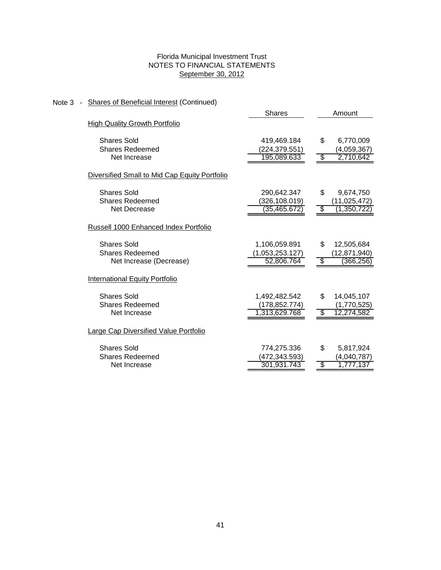# Note 3 - Shares of Beneficial Interest (Continued)

| <b>High Quality Growth Portfolio</b>          | 6,770,009      |
|-----------------------------------------------|----------------|
|                                               |                |
| <b>Shares Sold</b><br>419,469.184<br>\$       |                |
| <b>Shares Redeemed</b><br>(224,379.551)       | (4,059,367)    |
| 195,089.633<br>Net Increase<br>\$             | 2,710,642      |
| Diversified Small to Mid Cap Equity Portfolio |                |
| <b>Shares Sold</b><br>290,642.347<br>\$       | 9,674,750      |
| Shares Redeemed<br>(326, 108.019)             | (11, 025, 472) |
| (35,465.672)<br>\$<br>Net Decrease            | (1,350,722)    |
| Russell 1000 Enhanced Index Portfolio         |                |
| <b>Shares Sold</b><br>\$<br>1,106,059.891     | 12,505,684     |
| <b>Shares Redeemed</b><br>(1,053,253.127)     | (12, 871, 940) |
| Net Increase (Decrease)<br>52,806.764<br>\$.  | (366, 256)     |
| International Equity Portfolio                |                |
| <b>Shares Sold</b><br>1,492,482.542<br>\$     | 14,045,107     |
| <b>Shares Redeemed</b><br>(178, 852.774)      | (1,770,525)    |
| 1,313,629.768<br>Net Increase<br>\$           | 12,274,582     |
| Large Cap Diversified Value Portfolio         |                |
| \$<br><b>Shares Sold</b><br>774,275.336       | 5,817,924      |
| <b>Shares Redeemed</b><br>(472,343.593)       | (4,040,787)    |
| 301,931.743<br>Net Increase<br>\$             | 1,777,137      |